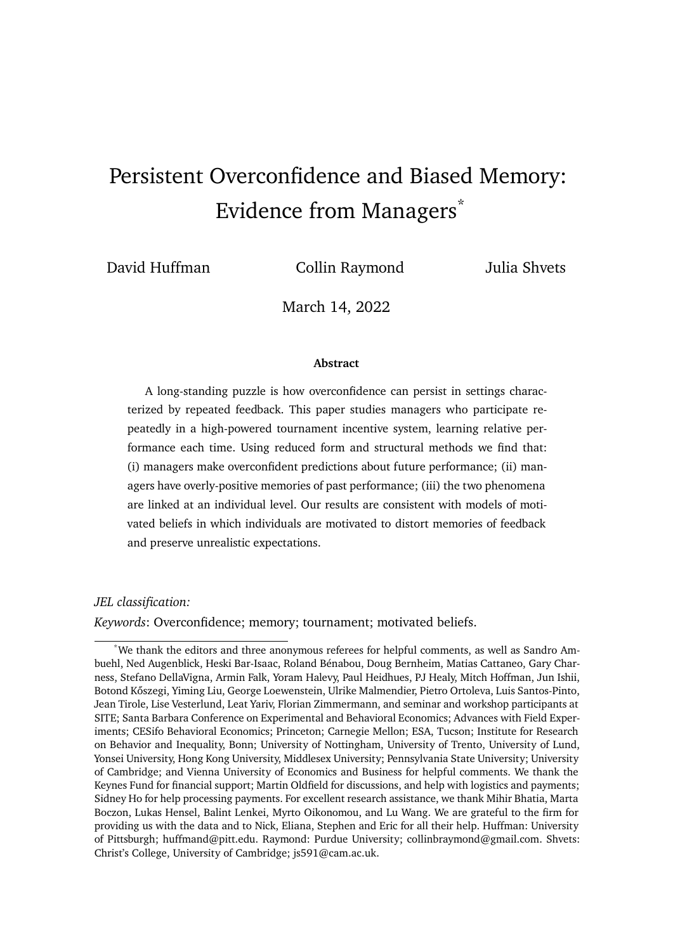# <span id="page-0-13"></span><span id="page-0-10"></span><span id="page-0-5"></span><span id="page-0-3"></span><span id="page-0-1"></span>Persistent Overconfidence and Biased Memory: Evidence from Managers\*

<span id="page-0-14"></span>

<span id="page-0-18"></span><span id="page-0-17"></span><span id="page-0-7"></span>David Huffman Collin Raymond Julia Shvets

<span id="page-0-6"></span>March 14, 2022

#### <span id="page-0-9"></span>**Abstract**

<span id="page-0-16"></span><span id="page-0-15"></span><span id="page-0-12"></span><span id="page-0-8"></span><span id="page-0-0"></span>A long-standing puzzle is how overconfidence can persist in settings characterized by repeated feedback. This paper studies managers who participate repeatedly in a high-powered tournament incentive system, learning relative performance each time. Using reduced form and structural methods we find that: (i) managers make overconfident predictions about future performance; (ii) managers have overly-positive memories of past performance; (iii) the two phenomena are linked at an individual level. Our results are consistent with models of motivated beliefs in which individuals are motivated to distort memories of feedback and preserve unrealistic expectations.

*JEL classification:*

<span id="page-0-4"></span>*Keywords*: Overconfidence; memory; tournament; motivated beliefs.

<span id="page-0-11"></span><span id="page-0-2"></span><sup>\*</sup>We thank the editors and three anonymous referees for helpful comments, as well as Sandro Ambuehl, Ned Augenblick, Heski Bar-Isaac, Roland Bénabou, Doug Bernheim, Matias Cattaneo, Gary Charness, Stefano DellaVigna, Armin Falk, Yoram Halevy, Paul Heidhues, PJ Healy, Mitch Hoffman, Jun Ishii, Botond Kőszegi, Yiming Liu, George Loewenstein, Ulrike Malmendier, Pietro Ortoleva, Luis Santos-Pinto, Jean Tirole, Lise Vesterlund, Leat Yariv, Florian Zimmermann, and seminar and workshop participants at SITE; Santa Barbara Conference on Experimental and Behavioral Economics; Advances with Field Experiments; CESifo Behavioral Economics; Princeton; Carnegie Mellon; ESA, Tucson; Institute for Research on Behavior and Inequality, Bonn; University of Nottingham, University of Trento, University of Lund, Yonsei University, Hong Kong University, Middlesex University; Pennsylvania State University; University of Cambridge; and Vienna University of Economics and Business for helpful comments. We thank the Keynes Fund for financial support; Martin Oldfield for discussions, and help with logistics and payments; Sidney Ho for help processing payments. For excellent research assistance, we thank Mihir Bhatia, Marta Boczon, Lukas Hensel, Balint Lenkei, Myrto Oikonomou, and Lu Wang. We are grateful to the firm for providing us with the data and to Nick, Eliana, Stephen and Eric for all their help. Huffman: University of Pittsburgh; huffmand@pitt.edu. Raymond: Purdue University; collinbraymond@gmail.com. Shvets: Christ's College, University of Cambridge; js591@cam.ac.uk.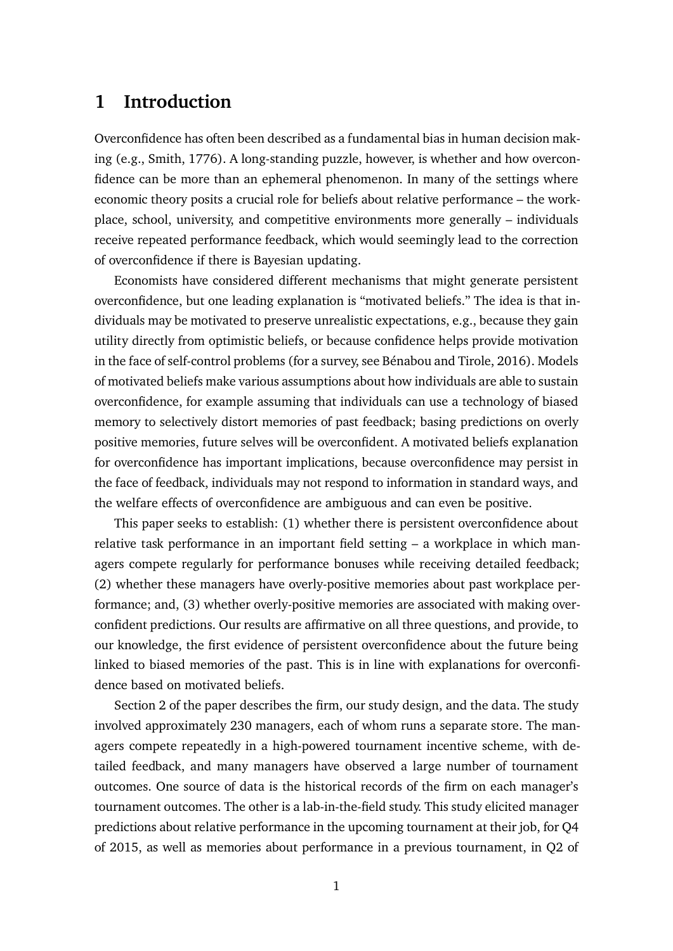# **1 Introduction**

Overconfidence has often been described as a fundamental bias in human decision making (e.g., Smith, 1776). A long-standing puzzle, however, is whether and how overconfidence can be more than an ephemeral phenomenon. In many of the settings where economic theory posits a crucial role for beliefs about relative performance – the workplace, school, university, and competitive environments more generally – individuals receive repeated performance feedback, which would seemingly lead to the correction of overconfidence if there is Bayesian updating.

Economists have considered different mechanisms that might generate persistent overconfidence, but one leading explanation is "motivated beliefs." The idea is that individuals may be motivated to preserve unrealistic expectations, e.g., because they gain utility directly from optimistic beliefs, or because confidence helps provide motivation in the face of self-control problems (for a survey, see Bénabou and Tirole, 2016). Models of motivated beliefs make various assumptions about how individuals are able to sustain overconfidence, for example assuming that individuals can use a technology of biased memory to selectively distort memories of past feedback; basing predictions on overly positive memories, future selves will be overconfident. A motivated beliefs explanation for overconfidence has important implications, because overconfidence may persist in the face of feedback, individuals may not respond to information in standard ways, and the welfare effects of overconfidence are ambiguous and can even be positive.

This paper seeks to establish: (1) whether there is persistent overconfidence about relative task performance in an important field setting – a workplace in which managers compete regularly for performance bonuses while receiving detailed feedback; (2) whether these managers have overly-positive memories about past workplace performance; and, (3) whether overly-positive memories are associated with making overconfident predictions. Our results are affirmative on all three questions, and provide, to our knowledge, the first evidence of persistent overconfidence about the future being linked to biased memories of the past. This is in line with explanations for overconfidence based on motivated beliefs.

Section 2 of the paper describes the firm, our study design, and the data. The study involved approximately 230 managers, each of whom runs a separate store. The managers compete repeatedly in a high-powered tournament incentive scheme, with detailed feedback, and many managers have observed a large number of tournament outcomes. One source of data is the historical records of the firm on each manager's tournament outcomes. The other is a lab-in-the-field study. This study elicited manager predictions about relative performance in the upcoming tournament at their job, for Q4 of 2015, as well as memories about performance in a previous tournament, in Q2 of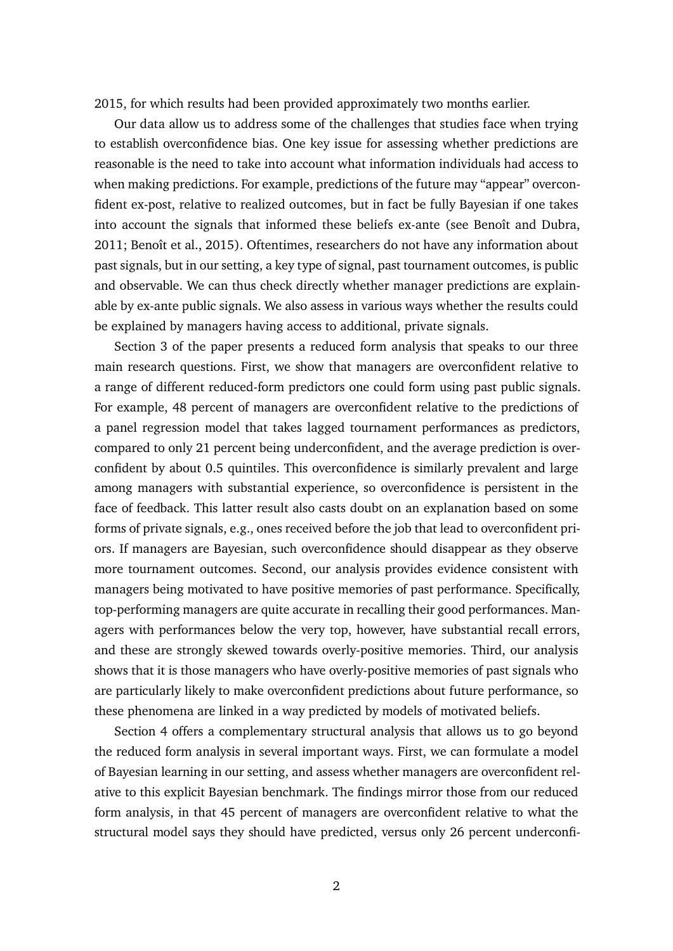2015, for which results had been provided approximately two months earlier.

Our data allow us to address some of the challenges that studies face when trying to establish overconfidence bias. One key issue for assessing whether predictions are reasonable is the need to take into account what information individuals had access to when making predictions. For example, predictions of the future may "appear" overconfident ex-post, relative to realized outcomes, but in fact be fully Bayesian if one takes into account the signals that informed these beliefs ex-ante (see Benoît and Dubra, 2011; Benoît et al., 2015). Oftentimes, researchers do not have any information about past signals, but in our setting, a key type of signal, past tournament outcomes, is public and observable. We can thus check directly whether manager predictions are explainable by ex-ante public signals. We also assess in various ways whether the results could be explained by managers having access to additional, private signals.

Section 3 of the paper presents a reduced form analysis that speaks to our three main research questions. First, we show that managers are overconfident relative to a range of different reduced-form predictors one could form using past public signals. For example, 48 percent of managers are overconfident relative to the predictions of a panel regression model that takes lagged tournament performances as predictors, compared to only 21 percent being underconfident, and the average prediction is overconfident by about 0.5 quintiles. This overconfidence is similarly prevalent and large among managers with substantial experience, so overconfidence is persistent in the face of feedback. This latter result also casts doubt on an explanation based on some forms of private signals, e.g., ones received before the job that lead to overconfident priors. If managers are Bayesian, such overconfidence should disappear as they observe more tournament outcomes. Second, our analysis provides evidence consistent with managers being motivated to have positive memories of past performance. Specifically, top-performing managers are quite accurate in recalling their good performances. Managers with performances below the very top, however, have substantial recall errors, and these are strongly skewed towards overly-positive memories. Third, our analysis shows that it is those managers who have overly-positive memories of past signals who are particularly likely to make overconfident predictions about future performance, so these phenomena are linked in a way predicted by models of motivated beliefs.

Section 4 offers a complementary structural analysis that allows us to go beyond the reduced form analysis in several important ways. First, we can formulate a model of Bayesian learning in our setting, and assess whether managers are overconfident relative to this explicit Bayesian benchmark. The findings mirror those from our reduced form analysis, in that 45 percent of managers are overconfident relative to what the structural model says they should have predicted, versus only 26 percent underconfi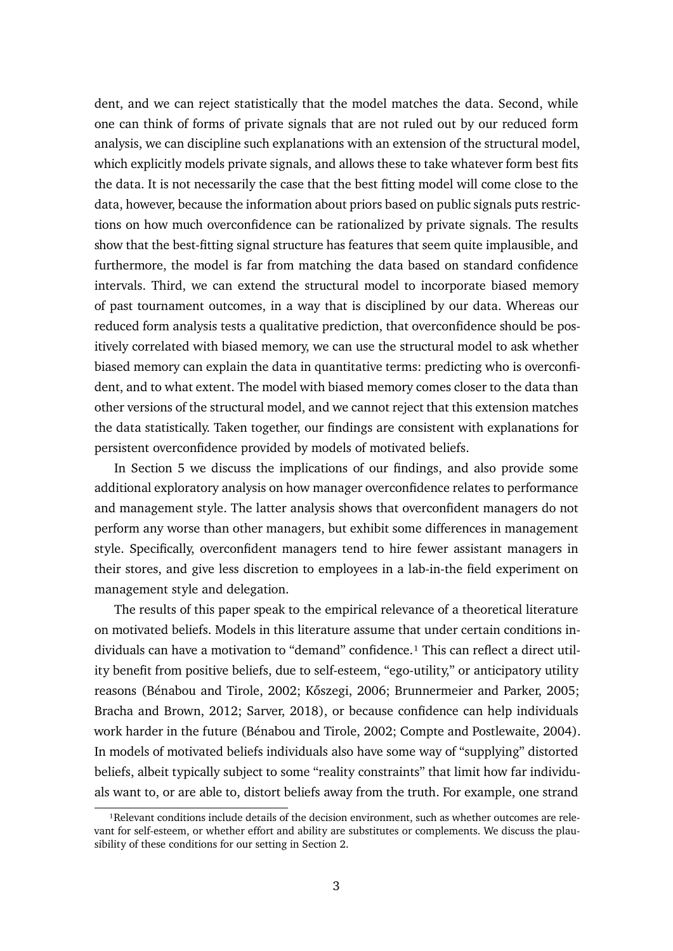dent, and we can reject statistically that the model matches the data. Second, while one can think of forms of private signals that are not ruled out by our reduced form analysis, we can discipline such explanations with an extension of the structural model, which explicitly models private signals, and allows these to take whatever form best fits the data. It is not necessarily the case that the best fitting model will come close to the data, however, because the information about priors based on public signals puts restrictions on how much overconfidence can be rationalized by private signals. The results show that the best-fitting signal structure has features that seem quite implausible, and furthermore, the model is far from matching the data based on standard confidence intervals. Third, we can extend the structural model to incorporate biased memory of past tournament outcomes, in a way that is disciplined by our data. Whereas our reduced form analysis tests a qualitative prediction, that overconfidence should be positively correlated with biased memory, we can use the structural model to ask whether biased memory can explain the data in quantitative terms: predicting who is overconfident, and to what extent. The model with biased memory comes closer to the data than other versions of the structural model, and we cannot reject that this extension matches the data statistically. Taken together, our findings are consistent with explanations for persistent overconfidence provided by models of motivated beliefs.

In Section 5 we discuss the implications of our findings, and also provide some additional exploratory analysis on how manager overconfidence relates to performance and management style. The latter analysis shows that overconfident managers do not perform any worse than other managers, but exhibit some differences in management style. Specifically, overconfident managers tend to hire fewer assistant managers in their stores, and give less discretion to employees in a lab-in-the field experiment on management style and delegation.

The results of this paper speak to the empirical relevance of a theoretical literature on motivated beliefs. Models in this literature assume that under certain conditions individuals can have a motivation to "demand" confidence.<sup>1</sup> This can reflect a direct utility benefit from positive beliefs, due to self-esteem, "ego-utility," or anticipatory utility reasons (Bénabou and Tirole, 2002; Kőszegi, 2006; Brunnermeier and Parker, 2005; Bracha and Brown, 2012; Sarver, 2018), or because confidence can help individuals work harder in the future (Bénabou and Tirole, 2002; Compte and Postlewaite, 2004). In models of motivated beliefs individuals also have some way of "supplying" distorted beliefs, albeit typically subject to some "reality constraints" that limit how far individuals want to, or are able to, distort beliefs away from the truth. For example, one strand

<span id="page-3-0"></span><sup>&</sup>lt;sup>1</sup>Relevant conditions include details of the decision environment, such as whether outcomes are relevant for self-esteem, or whether effort and ability are substitutes or complements. We discuss the plausibility of these conditions for our setting in Section 2.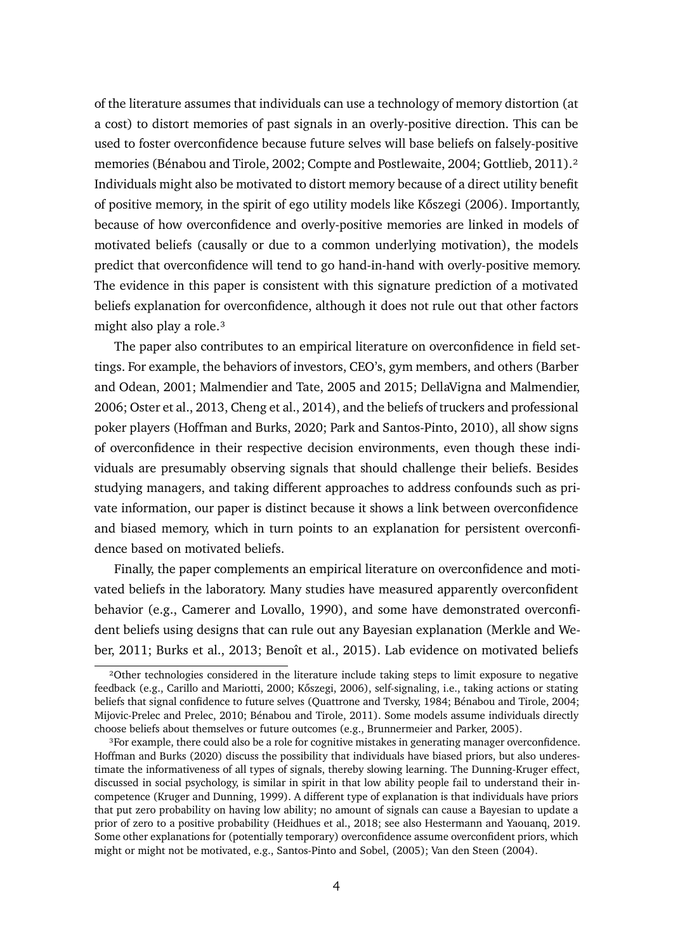of the literature assumes that individuals can use a technology of memory distortion (at a cost) to distort memories of past signals in an overly-positive direction. This can be used to foster overconfidence because future selves will base beliefs on falsely-positive memories (Bénabou and Tirole, 2002; Compte and Postlewaite, 2004; Gottlieb, 2011).[²](#page-4-0) Individuals might also be motivated to distort memory because of a direct utility benefit of positive memory, in the spirit of ego utility models like Kőszegi (2006). Importantly, because of how overconfidence and overly-positive memories are linked in models of motivated beliefs (causally or due to a common underlying motivation), the models predict that overconfidence will tend to go hand-in-hand with overly-positive memory. The evidence in this paper is consistent with this signature prediction of a motivated beliefs explanation for overconfidence, although it does not rule out that other factors might also play a role.<sup>3</sup>

The paper also contributes to an empirical literature on overconfidence in field settings. For example, the behaviors of investors, CEO's, gym members, and others (Barber and Odean, 2001; Malmendier and Tate, 2005 and 2015; DellaVigna and Malmendier, 2006; Oster et al., 2013, Cheng et al., 2014), and the beliefs of truckers and professional poker players (Hoffman and Burks, 2020; Park and Santos-Pinto, 2010), all show signs of overconfidence in their respective decision environments, even though these individuals are presumably observing signals that should challenge their beliefs. Besides studying managers, and taking different approaches to address confounds such as private information, our paper is distinct because it shows a link between overconfidence and biased memory, which in turn points to an explanation for persistent overconfidence based on motivated beliefs.

Finally, the paper complements an empirical literature on overconfidence and motivated beliefs in the laboratory. Many studies have measured apparently overconfident behavior (e.g., Camerer and Lovallo, 1990), and some have demonstrated overconfident beliefs using designs that can rule out any Bayesian explanation (Merkle and Weber, 2011; Burks et al., 2013; Benoît et al., 2015). Lab evidence on motivated beliefs

<span id="page-4-0"></span>²Other technologies considered in the literature include taking steps to limit exposure to negative feedback (e.g., Carillo and Mariotti, 2000; Kőszegi, 2006), self-signaling, i.e., taking actions or stating beliefs that signal confidence to future selves (Quattrone and Tversky, 1984; Bénabou and Tirole, 2004; Mijovic-Prelec and Prelec, 2010; Bénabou and Tirole, 2011). Some models assume individuals directly choose beliefs about themselves or future outcomes (e.g., Brunnermeier and Parker, 2005).

<span id="page-4-1"></span><sup>&</sup>lt;sup>3</sup>For example, there could also be a role for cognitive mistakes in generating manager overconfidence. Hoffman and Burks (2020) discuss the possibility that individuals have biased priors, but also underestimate the informativeness of all types of signals, thereby slowing learning. The Dunning-Kruger effect, discussed in social psychology, is similar in spirit in that low ability people fail to understand their incompetence (Kruger and Dunning, 1999). A different type of explanation is that individuals have priors that put zero probability on having low ability; no amount of signals can cause a Bayesian to update a prior of zero to a positive probability (Heidhues et al., 2018; see also Hestermann and Yaouanq, 2019. Some other explanations for (potentially temporary) overconfidence assume overconfident priors, which might or might not be motivated, e.g., Santos-Pinto and Sobel, (2005); Van den Steen (2004).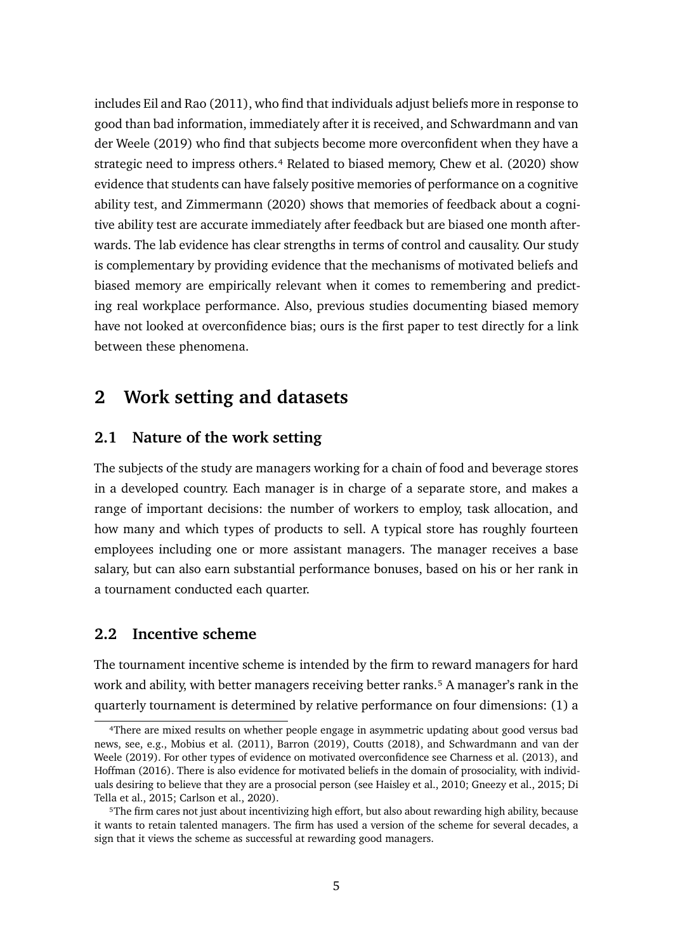includes Eil and Rao (2011), who find that individuals adjust beliefs more in response to good than bad information, immediately after it is received, and Schwardmann and van der Weele (2019) who find that subjects become more overconfident when they have a strategic need to impress others.<sup>4</sup> Related to biased memory, Chew et al. (2020) show evidence that students can have falsely positive memories of performance on a cognitive ability test, and Zimmermann (2020) shows that memories of feedback about a cognitive ability test are accurate immediately after feedback but are biased one month afterwards. The lab evidence has clear strengths in terms of control and causality. Our study is complementary by providing evidence that the mechanisms of motivated beliefs and biased memory are empirically relevant when it comes to remembering and predicting real workplace performance. Also, previous studies documenting biased memory have not looked at overconfidence bias; ours is the first paper to test directly for a link between these phenomena.

# **2 Work setting and datasets**

### **2.1 Nature of the work setting**

The subjects of the study are managers working for a chain of food and beverage stores in a developed country. Each manager is in charge of a separate store, and makes a range of important decisions: the number of workers to employ, task allocation, and how many and which types of products to sell. A typical store has roughly fourteen employees including one or more assistant managers. The manager receives a base salary, but can also earn substantial performance bonuses, based on his or her rank in a tournament conducted each quarter.

### **2.2 Incentive scheme**

The tournament incentive scheme is intended by the firm to reward managers for hard work and ability, with better managers receiving better ranks.<sup>5</sup> A manager's rank in the quarterly tournament is determined by relative performance on four dimensions: (1) a

<span id="page-5-0"></span>⁴There are mixed results on whether people engage in asymmetric updating about good versus bad news, see, e.g., Mobius et al. (2011), Barron (2019), Coutts (2018), and Schwardmann and van der Weele (2019). For other types of evidence on motivated overconfidence see Charness et al. (2013), and Hoffman (2016). There is also evidence for motivated beliefs in the domain of prosociality, with individuals desiring to believe that they are a prosocial person (see Haisley et al., 2010; Gneezy et al., 2015; Di Tella et al., 2015; Carlson et al., 2020).

<span id="page-5-1"></span>⁵The firm cares not just about incentivizing high effort, but also about rewarding high ability, because it wants to retain talented managers. The firm has used a version of the scheme for several decades, a sign that it views the scheme as successful at rewarding good managers.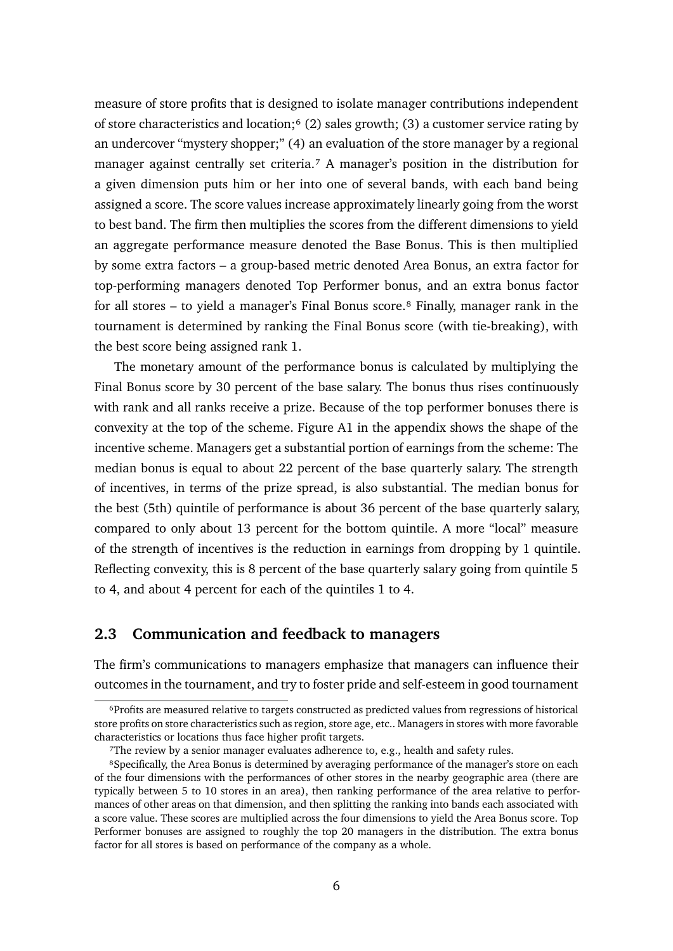measure of store profits that is designed to isolate manager contributions independent of store characteristics and location; $\frac{6}{2}$  sales growth; (3) a customer service rating by an undercover "mystery shopper;" (4) an evaluation of the store manager by a regional manager against centrally set criteria.<sup>7</sup> A manager's position in the distribution for a given dimension puts him or her into one of several bands, with each band being assigned a score. The score values increase approximately linearly going from the worst to best band. The firm then multiplies the scores from the different dimensions to yield an aggregate performance measure denoted the Base Bonus. This is then multiplied by some extra factors – a group-based metric denoted Area Bonus, an extra factor for top-performing managers denoted Top Performer bonus, and an extra bonus factor for all stores – to yield a manager's Final Bonus score.<sup>8</sup> Finally, manager rank in the tournament is determined by ranking the Final Bonus score (with tie-breaking), with the best score being assigned rank 1.

The monetary amount of the performance bonus is calculated by multiplying the Final Bonus score by 30 percent of the base salary. The bonus thus rises continuously with rank and all ranks receive a prize. Because of the top performer bonuses there is convexity at the top of the scheme. Figure [A1](#page-0-0) in the appendix shows the shape of the incentive scheme. Managers get a substantial portion of earnings from the scheme: The median bonus is equal to about 22 percent of the base quarterly salary. The strength of incentives, in terms of the prize spread, is also substantial. The median bonus for the best (5th) quintile of performance is about 36 percent of the base quarterly salary, compared to only about 13 percent for the bottom quintile. A more "local" measure of the strength of incentives is the reduction in earnings from dropping by 1 quintile. Reflecting convexity, this is 8 percent of the base quarterly salary going from quintile 5 to 4, and about 4 percent for each of the quintiles 1 to 4.

## **2.3 Communication and feedback to managers**

The firm's communications to managers emphasize that managers can influence their outcomes in the tournament, and try to foster pride and self-esteem in good tournament

<span id="page-6-0"></span>⁶Profits are measured relative to targets constructed as predicted values from regressions of historical store profits on store characteristics such as region, store age, etc.. Managers in stores with more favorable characteristics or locations thus face higher profit targets.

<span id="page-6-2"></span><span id="page-6-1"></span>⁷The review by a senior manager evaluates adherence to, e.g., health and safety rules.

<sup>&</sup>lt;sup>8</sup>Specifically, the Area Bonus is determined by averaging performance of the manager's store on each of the four dimensions with the performances of other stores in the nearby geographic area (there are typically between 5 to 10 stores in an area), then ranking performance of the area relative to performances of other areas on that dimension, and then splitting the ranking into bands each associated with a score value. These scores are multiplied across the four dimensions to yield the Area Bonus score. Top Performer bonuses are assigned to roughly the top 20 managers in the distribution. The extra bonus factor for all stores is based on performance of the company as a whole.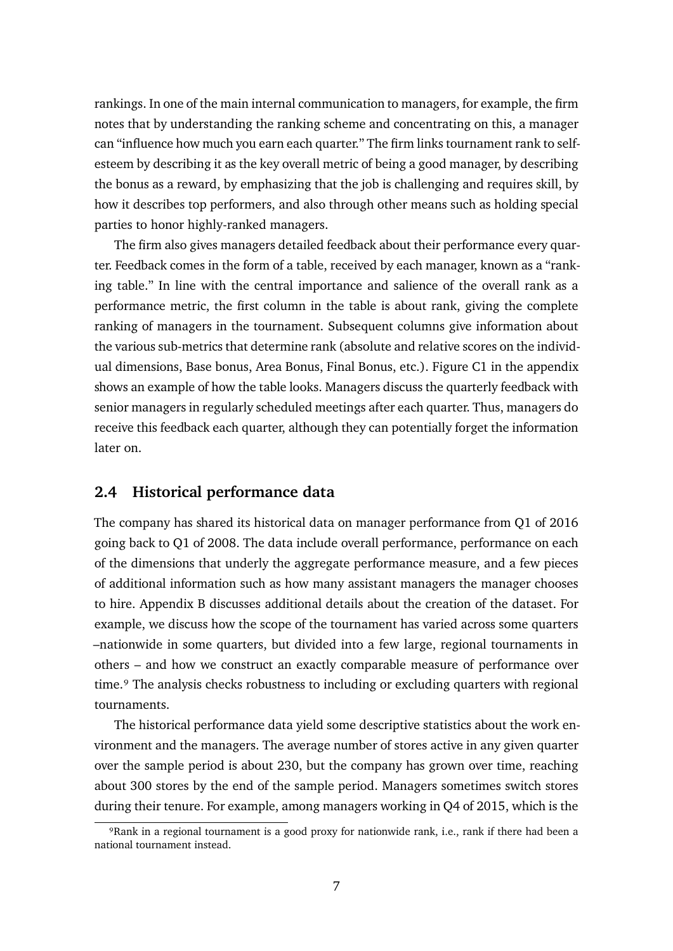rankings. In one of the main internal communication to managers, for example, the firm notes that by understanding the ranking scheme and concentrating on this, a manager can "influence how much you earn each quarter." The firm links tournament rank to selfesteem by describing it as the key overall metric of being a good manager, by describing the bonus as a reward, by emphasizing that the job is challenging and requires skill, by how it describes top performers, and also through other means such as holding special parties to honor highly-ranked managers.

The firm also gives managers detailed feedback about their performance every quarter. Feedback comes in the form of a table, received by each manager, known as a "ranking table." In line with the central importance and salience of the overall rank as a performance metric, the first column in the table is about rank, giving the complete ranking of managers in the tournament. Subsequent columns give information about the various sub-metrics that determine rank (absolute and relative scores on the individual dimensions, Base bonus, Area Bonus, Final Bonus, etc.). Figure [C1](#page-0-1) in the appendix shows an example of how the table looks. Managers discuss the quarterly feedback with senior managers in regularly scheduled meetings after each quarter. Thus, managers do receive this feedback each quarter, although they can potentially forget the information later on.

### **2.4 Historical performance data**

The company has shared its historical data on manager performance from Q1 of 2016 going back to Q1 of 2008. The data include overall performance, performance on each of the dimensions that underly the aggregate performance measure, and a few pieces of additional information such as how many assistant managers the manager chooses to hire. Appendix [B](#page-0-2) discusses additional details about the creation of the dataset. For example, we discuss how the scope of the tournament has varied across some quarters –nationwide in some quarters, but divided into a few large, regional tournaments in others – and how we construct an exactly comparable measure of performance over time.<sup>9</sup> The analysis checks robustness to including or excluding quarters with regional tournaments.

The historical performance data yield some descriptive statistics about the work environment and the managers. The average number of stores active in any given quarter over the sample period is about 230, but the company has grown over time, reaching about 300 stores by the end of the sample period. Managers sometimes switch stores during their tenure. For example, among managers working in Q4 of 2015, which is the

<span id="page-7-0"></span>⁹Rank in a regional tournament is a good proxy for nationwide rank, i.e., rank if there had been a national tournament instead.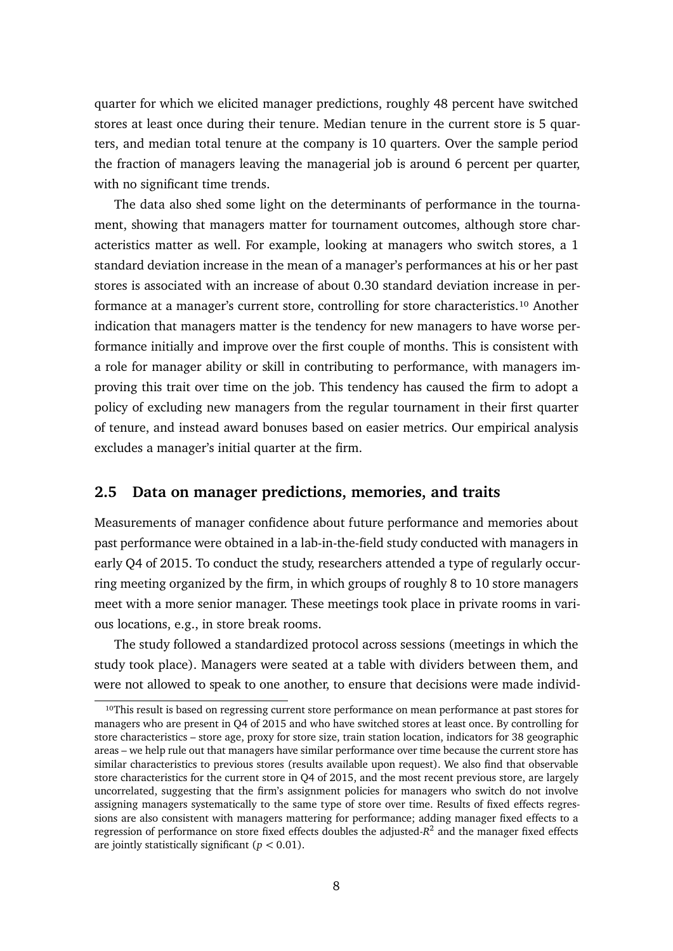quarter for which we elicited manager predictions, roughly 48 percent have switched stores at least once during their tenure. Median tenure in the current store is 5 quarters, and median total tenure at the company is 10 quarters. Over the sample period the fraction of managers leaving the managerial job is around 6 percent per quarter, with no significant time trends.

The data also shed some light on the determinants of performance in the tournament, showing that managers matter for tournament outcomes, although store characteristics matter as well. For example, looking at managers who switch stores, a 1 standard deviation increase in the mean of a manager's performances at his or her past stores is associated with an increase of about 0.30 standard deviation increase in performance at a manager's current store, controlling for store characteristics.<sup>10</sup> Another indication that managers matter is the tendency for new managers to have worse performance initially and improve over the first couple of months. This is consistent with a role for manager ability or skill in contributing to performance, with managers improving this trait over time on the job. This tendency has caused the firm to adopt a policy of excluding new managers from the regular tournament in their first quarter of tenure, and instead award bonuses based on easier metrics. Our empirical analysis excludes a manager's initial quarter at the firm.

#### **2.5 Data on manager predictions, memories, and traits**

Measurements of manager confidence about future performance and memories about past performance were obtained in a lab-in-the-field study conducted with managers in early Q4 of 2015. To conduct the study, researchers attended a type of regularly occurring meeting organized by the firm, in which groups of roughly 8 to 10 store managers meet with a more senior manager. These meetings took place in private rooms in various locations, e.g., in store break rooms.

The study followed a standardized protocol across sessions (meetings in which the study took place). Managers were seated at a table with dividers between them, and were not allowed to speak to one another, to ensure that decisions were made individ-

<span id="page-8-0"></span><sup>&</sup>lt;sup>10</sup>This result is based on regressing current store performance on mean performance at past stores for managers who are present in Q4 of 2015 and who have switched stores at least once. By controlling for store characteristics – store age, proxy for store size, train station location, indicators for 38 geographic areas – we help rule out that managers have similar performance over time because the current store has similar characteristics to previous stores (results available upon request). We also find that observable store characteristics for the current store in Q4 of 2015, and the most recent previous store, are largely uncorrelated, suggesting that the firm's assignment policies for managers who switch do not involve assigning managers systematically to the same type of store over time. Results of fixed effects regressions are also consistent with managers mattering for performance; adding manager fixed effects to a regression of performance on store fixed effects doubles the adjusted-*R*<sup>2</sup> and the manager fixed effects are jointly statistically significant  $(p < 0.01)$ .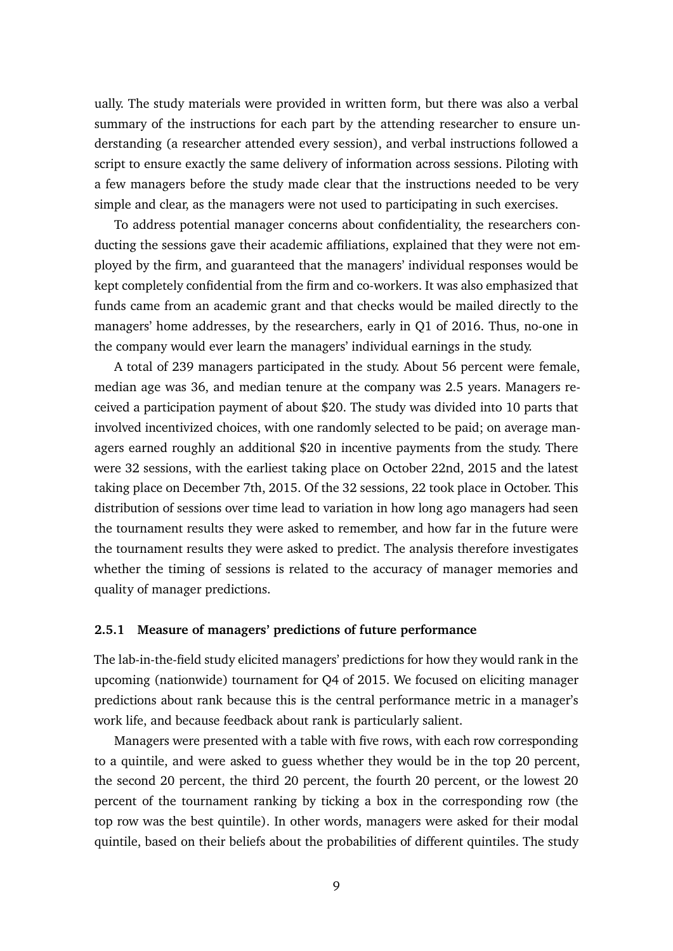ually. The study materials were provided in written form, but there was also a verbal summary of the instructions for each part by the attending researcher to ensure understanding (a researcher attended every session), and verbal instructions followed a script to ensure exactly the same delivery of information across sessions. Piloting with a few managers before the study made clear that the instructions needed to be very simple and clear, as the managers were not used to participating in such exercises.

To address potential manager concerns about confidentiality, the researchers conducting the sessions gave their academic affiliations, explained that they were not employed by the firm, and guaranteed that the managers' individual responses would be kept completely confidential from the firm and co-workers. It was also emphasized that funds came from an academic grant and that checks would be mailed directly to the managers' home addresses, by the researchers, early in Q1 of 2016. Thus, no-one in the company would ever learn the managers' individual earnings in the study.

A total of 239 managers participated in the study. About 56 percent were female, median age was 36, and median tenure at the company was 2.5 years. Managers received a participation payment of about \$20. The study was divided into 10 parts that involved incentivized choices, with one randomly selected to be paid; on average managers earned roughly an additional \$20 in incentive payments from the study. There were 32 sessions, with the earliest taking place on October 22nd, 2015 and the latest taking place on December 7th, 2015. Of the 32 sessions, 22 took place in October. This distribution of sessions over time lead to variation in how long ago managers had seen the tournament results they were asked to remember, and how far in the future were the tournament results they were asked to predict. The analysis therefore investigates whether the timing of sessions is related to the accuracy of manager memories and quality of manager predictions.

#### **2.5.1 Measure of managers' predictions of future performance**

The lab-in-the-field study elicited managers' predictions for how they would rank in the upcoming (nationwide) tournament for Q4 of 2015. We focused on eliciting manager predictions about rank because this is the central performance metric in a manager's work life, and because feedback about rank is particularly salient.

Managers were presented with a table with five rows, with each row corresponding to a quintile, and were asked to guess whether they would be in the top 20 percent, the second 20 percent, the third 20 percent, the fourth 20 percent, or the lowest 20 percent of the tournament ranking by ticking a box in the corresponding row (the top row was the best quintile). In other words, managers were asked for their modal quintile, based on their beliefs about the probabilities of different quintiles. The study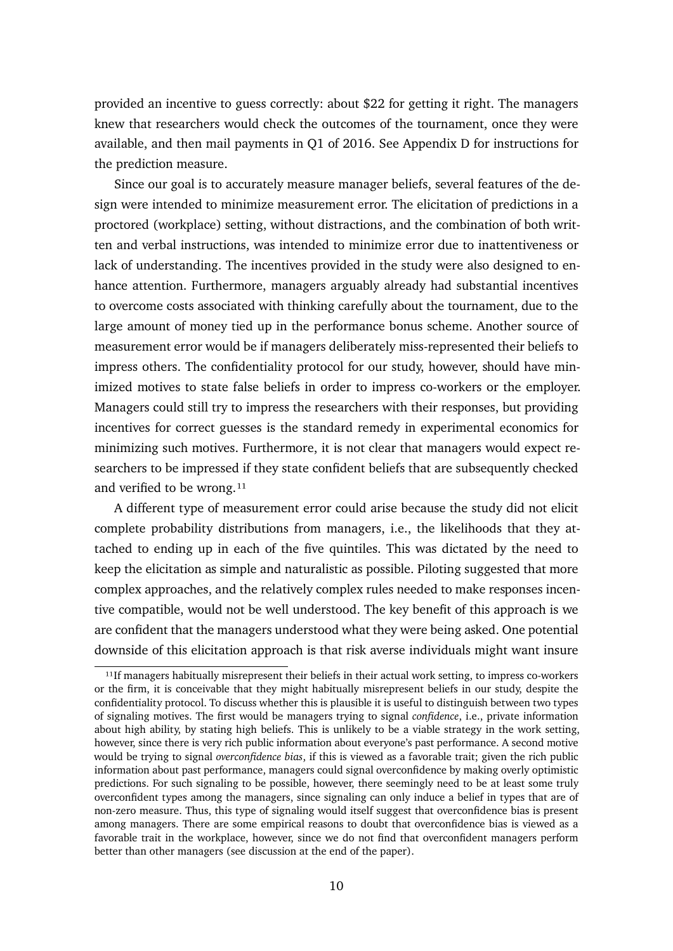provided an incentive to guess correctly: about \$22 for getting it right. The managers knew that researchers would check the outcomes of the tournament, once they were available, and then mail payments in Q1 of 2016. See Appendix [D](#page-0-3) for instructions for the prediction measure.

Since our goal is to accurately measure manager beliefs, several features of the design were intended to minimize measurement error. The elicitation of predictions in a proctored (workplace) setting, without distractions, and the combination of both written and verbal instructions, was intended to minimize error due to inattentiveness or lack of understanding. The incentives provided in the study were also designed to enhance attention. Furthermore, managers arguably already had substantial incentives to overcome costs associated with thinking carefully about the tournament, due to the large amount of money tied up in the performance bonus scheme. Another source of measurement error would be if managers deliberately miss-represented their beliefs to impress others. The confidentiality protocol for our study, however, should have minimized motives to state false beliefs in order to impress co-workers or the employer. Managers could still try to impress the researchers with their responses, but providing incentives for correct guesses is the standard remedy in experimental economics for minimizing such motives. Furthermore, it is not clear that managers would expect researchers to be impressed if they state confident beliefs that are subsequently checked and verified to be wrong.<sup>11</sup>

A different type of measurement error could arise because the study did not elicit complete probability distributions from managers, i.e., the likelihoods that they attached to ending up in each of the five quintiles. This was dictated by the need to keep the elicitation as simple and naturalistic as possible. Piloting suggested that more complex approaches, and the relatively complex rules needed to make responses incentive compatible, would not be well understood. The key benefit of this approach is we are confident that the managers understood what they were being asked. One potential downside of this elicitation approach is that risk averse individuals might want insure

<span id="page-10-0"></span> $11$ If managers habitually misrepresent their beliefs in their actual work setting, to impress co-workers or the firm, it is conceivable that they might habitually misrepresent beliefs in our study, despite the confidentiality protocol. To discuss whether this is plausible it is useful to distinguish between two types of signaling motives. The first would be managers trying to signal *confidence*, i.e., private information about high ability, by stating high beliefs. This is unlikely to be a viable strategy in the work setting, however, since there is very rich public information about everyone's past performance. A second motive would be trying to signal *overconfidence bias*, if this is viewed as a favorable trait; given the rich public information about past performance, managers could signal overconfidence by making overly optimistic predictions. For such signaling to be possible, however, there seemingly need to be at least some truly overconfident types among the managers, since signaling can only induce a belief in types that are of non-zero measure. Thus, this type of signaling would itself suggest that overconfidence bias is present among managers. There are some empirical reasons to doubt that overconfidence bias is viewed as a favorable trait in the workplace, however, since we do not find that overconfident managers perform better than other managers (see discussion at the end of the paper).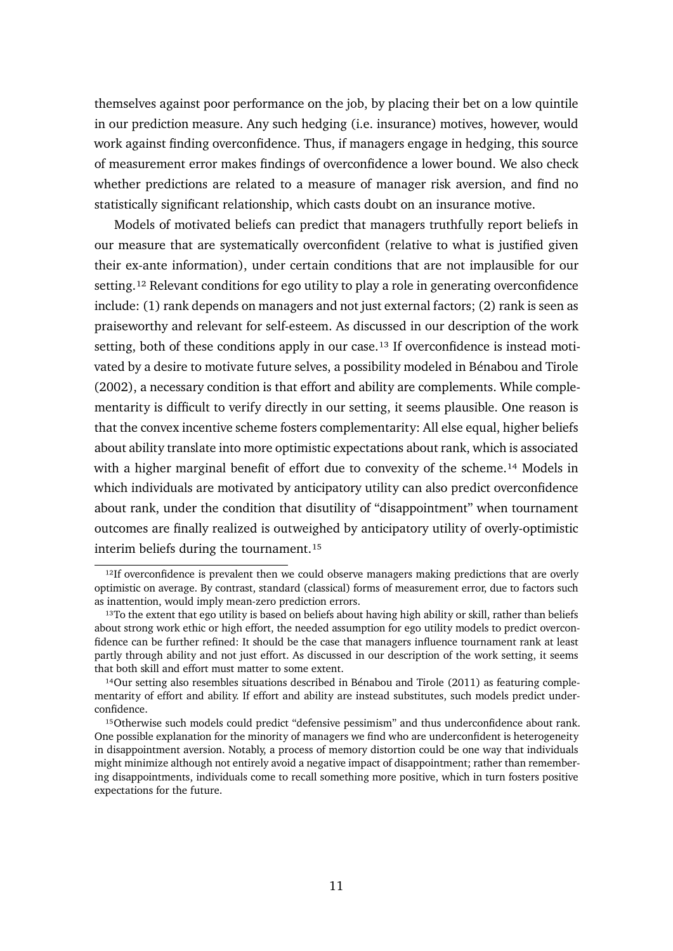themselves against poor performance on the job, by placing their bet on a low quintile in our prediction measure. Any such hedging (i.e. insurance) motives, however, would work against finding overconfidence. Thus, if managers engage in hedging, this source of measurement error makes findings of overconfidence a lower bound. We also check whether predictions are related to a measure of manager risk aversion, and find no statistically significant relationship, which casts doubt on an insurance motive.

Models of motivated beliefs can predict that managers truthfully report beliefs in our measure that are systematically overconfident (relative to what is justified given their ex-ante information), under certain conditions that are not implausible for our setting.<sup>12</sup> Relevant conditions for ego utility to play a role in generating overconfidence include: (1) rank depends on managers and not just external factors; (2) rank is seen as praiseworthy and relevant for self-esteem. As discussed in our description of the work setting, both of these conditions apply in our case.<sup>13</sup> If overconfidence is instead motivated by a desire to motivate future selves, a possibility modeled in Bénabou and Tirole (2002), a necessary condition is that effort and ability are complements. While complementarity is difficult to verify directly in our setting, it seems plausible. One reason is that the convex incentive scheme fosters complementarity: All else equal, higher beliefs about ability translate into more optimistic expectations about rank, which is associated with a higher marginal benefit of effort due to convexity of the scheme.<sup>14</sup> Models in which individuals are motivated by anticipatory utility can also predict overconfidence about rank, under the condition that disutility of "disappointment" when tournament outcomes are finally realized is outweighed by anticipatory utility of overly-optimistic interim beliefs during the tournament.<sup>15</sup>

<span id="page-11-0"></span><sup>&</sup>lt;sup>12</sup>If overconfidence is prevalent then we could observe managers making predictions that are overly optimistic on average. By contrast, standard (classical) forms of measurement error, due to factors such as inattention, would imply mean-zero prediction errors.

<span id="page-11-1"></span><sup>&</sup>lt;sup>13</sup>To the extent that ego utility is based on beliefs about having high ability or skill, rather than beliefs about strong work ethic or high effort, the needed assumption for ego utility models to predict overconfidence can be further refined: It should be the case that managers influence tournament rank at least partly through ability and not just effort. As discussed in our description of the work setting, it seems that both skill and effort must matter to some extent.

<span id="page-11-2"></span> $14$ Our setting also resembles situations described in Bénabou and Tirole (2011) as featuring complementarity of effort and ability. If effort and ability are instead substitutes, such models predict underconfidence.

<span id="page-11-3"></span><sup>&</sup>lt;sup>15</sup>Otherwise such models could predict "defensive pessimism" and thus underconfidence about rank. One possible explanation for the minority of managers we find who are underconfident is heterogeneity in disappointment aversion. Notably, a process of memory distortion could be one way that individuals might minimize although not entirely avoid a negative impact of disappointment; rather than remembering disappointments, individuals come to recall something more positive, which in turn fosters positive expectations for the future.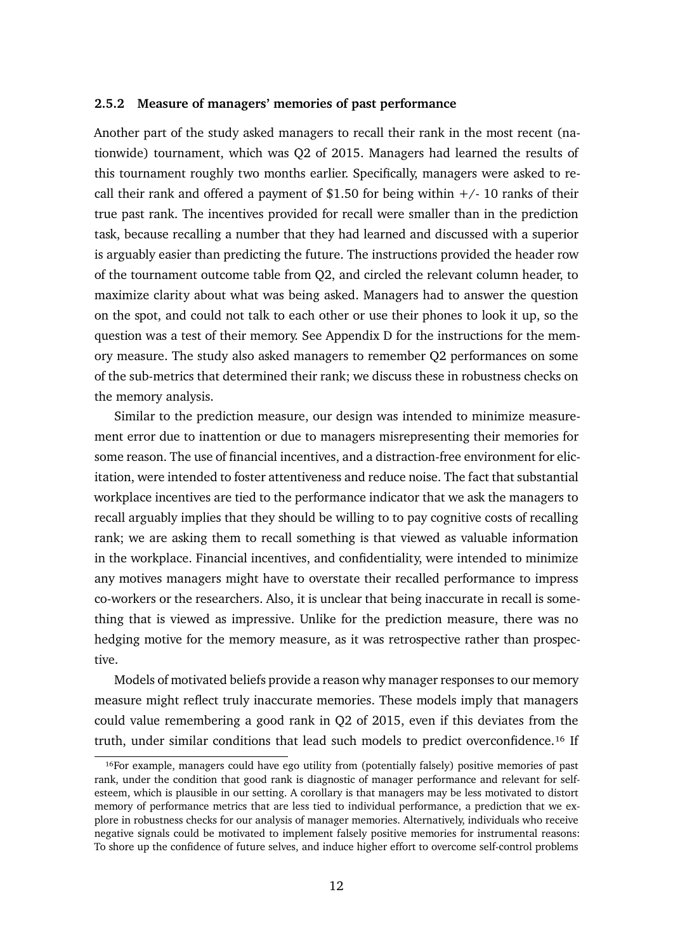#### **2.5.2 Measure of managers' memories of past performance**

Another part of the study asked managers to recall their rank in the most recent (nationwide) tournament, which was Q2 of 2015. Managers had learned the results of this tournament roughly two months earlier. Specifically, managers were asked to recall their rank and offered a payment of \$1.50 for being within  $+/-10$  ranks of their true past rank. The incentives provided for recall were smaller than in the prediction task, because recalling a number that they had learned and discussed with a superior is arguably easier than predicting the future. The instructions provided the header row of the tournament outcome table from Q2, and circled the relevant column header, to maximize clarity about what was being asked. Managers had to answer the question on the spot, and could not talk to each other or use their phones to look it up, so the question was a test of their memory. See Appendix [D](#page-0-3) for the instructions for the memory measure. The study also asked managers to remember Q2 performances on some of the sub-metrics that determined their rank; we discuss these in robustness checks on the memory analysis.

Similar to the prediction measure, our design was intended to minimize measurement error due to inattention or due to managers misrepresenting their memories for some reason. The use of financial incentives, and a distraction-free environment for elicitation, were intended to foster attentiveness and reduce noise. The fact that substantial workplace incentives are tied to the performance indicator that we ask the managers to recall arguably implies that they should be willing to to pay cognitive costs of recalling rank; we are asking them to recall something is that viewed as valuable information in the workplace. Financial incentives, and confidentiality, were intended to minimize any motives managers might have to overstate their recalled performance to impress co-workers or the researchers. Also, it is unclear that being inaccurate in recall is something that is viewed as impressive. Unlike for the prediction measure, there was no hedging motive for the memory measure, as it was retrospective rather than prospective.

Models of motivated beliefs provide a reason why manager responses to our memory measure might reflect truly inaccurate memories. These models imply that managers could value remembering a good rank in Q2 of 2015, even if this deviates from the truth, under similar conditions that lead such models to predict overconfidence.<sup>16</sup> If

<span id="page-12-0"></span><sup>&</sup>lt;sup>16</sup>For example, managers could have ego utility from (potentially falsely) positive memories of past rank, under the condition that good rank is diagnostic of manager performance and relevant for selfesteem, which is plausible in our setting. A corollary is that managers may be less motivated to distort memory of performance metrics that are less tied to individual performance, a prediction that we explore in robustness checks for our analysis of manager memories. Alternatively, individuals who receive negative signals could be motivated to implement falsely positive memories for instrumental reasons: To shore up the confidence of future selves, and induce higher effort to overcome self-control problems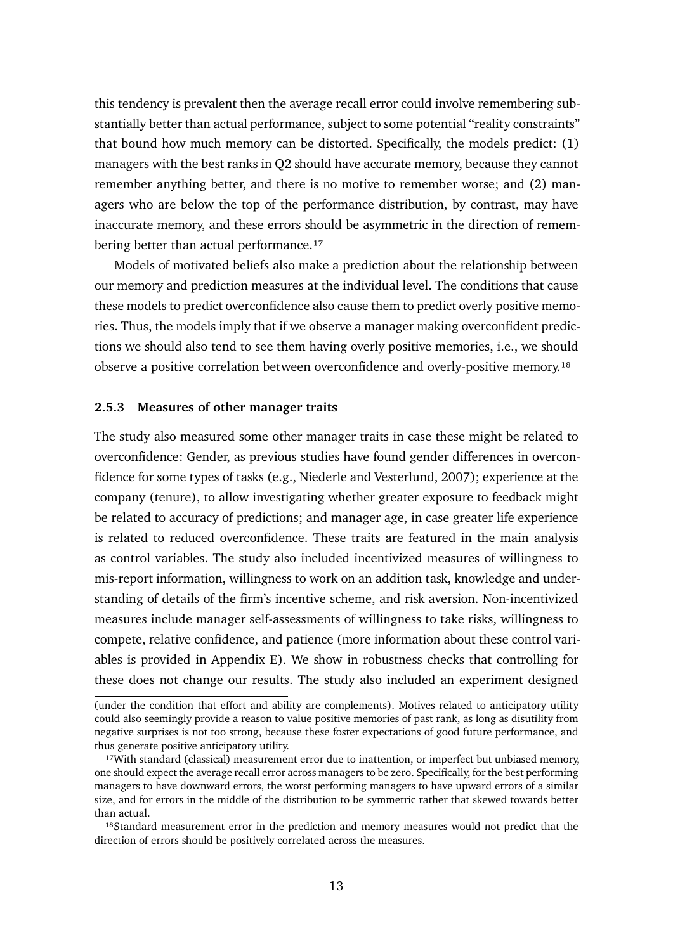this tendency is prevalent then the average recall error could involve remembering substantially better than actual performance, subject to some potential "reality constraints" that bound how much memory can be distorted. Specifically, the models predict: (1) managers with the best ranks in Q2 should have accurate memory, because they cannot remember anything better, and there is no motive to remember worse; and (2) managers who are below the top of the performance distribution, by contrast, may have inaccurate memory, and these errors should be asymmetric in the direction of remembering better than actual performance.<sup>17</sup>

Models of motivated beliefs also make a prediction about the relationship between our memory and prediction measures at the individual level. The conditions that cause these models to predict overconfidence also cause them to predict overly positive memories. Thus, the models imply that if we observe a manager making overconfident predictions we should also tend to see them having overly positive memories, i.e., we should observe a positive correlation between overconfidence and overly-positive memory.<sup>18</sup>

#### **2.5.3 Measures of other manager traits**

The study also measured some other manager traits in case these might be related to overconfidence: Gender, as previous studies have found gender differences in overconfidence for some types of tasks (e.g., Niederle and Vesterlund, 2007); experience at the company (tenure), to allow investigating whether greater exposure to feedback might be related to accuracy of predictions; and manager age, in case greater life experience is related to reduced overconfidence. These traits are featured in the main analysis as control variables. The study also included incentivized measures of willingness to mis-report information, willingness to work on an addition task, knowledge and understanding of details of the firm's incentive scheme, and risk aversion. Non-incentivized measures include manager self-assessments of willingness to take risks, willingness to compete, relative confidence, and patience (more information about these control variables is provided in Appendix [E\)](#page-0-4). We show in robustness checks that controlling for these does not change our results. The study also included an experiment designed

<sup>(</sup>under the condition that effort and ability are complements). Motives related to anticipatory utility could also seemingly provide a reason to value positive memories of past rank, as long as disutility from negative surprises is not too strong, because these foster expectations of good future performance, and thus generate positive anticipatory utility.

<span id="page-13-0"></span><sup>&</sup>lt;sup>17</sup>With standard (classical) measurement error due to inattention, or imperfect but unbiased memory, one should expect the average recall error across managers to be zero. Specifically, for the best performing managers to have downward errors, the worst performing managers to have upward errors of a similar size, and for errors in the middle of the distribution to be symmetric rather that skewed towards better than actual.

<span id="page-13-1"></span><sup>&</sup>lt;sup>18</sup>Standard measurement error in the prediction and memory measures would not predict that the direction of errors should be positively correlated across the measures.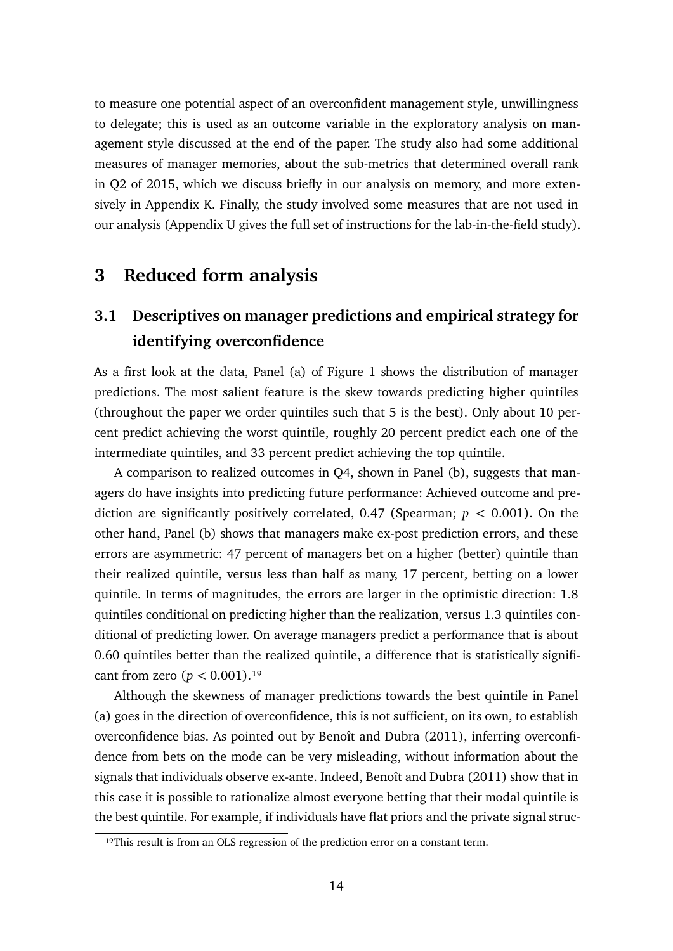to measure one potential aspect of an overconfident management style, unwillingness to delegate; this is used as an outcome variable in the exploratory analysis on management style discussed at the end of the paper. The study also had some additional measures of manager memories, about the sub-metrics that determined overall rank in Q2 of 2015, which we discuss briefly in our analysis on memory, and more extensively in Appendix [K.](#page-0-3) Finally, the study involved some measures that are not used in our analysis (Appendix [U](#page-0-3) gives the full set of instructions for the lab-in-the-field study).

# <span id="page-14-1"></span>**3 Reduced form analysis**

# **3.1 Descriptives on manager predictions and empirical strategy for identifying overconfidence**

As a first look at the data, Panel (a) of Figure [1](#page-15-0) shows the distribution of manager predictions. The most salient feature is the skew towards predicting higher quintiles (throughout the paper we order quintiles such that 5 is the best). Only about 10 percent predict achieving the worst quintile, roughly 20 percent predict each one of the intermediate quintiles, and 33 percent predict achieving the top quintile.

A comparison to realized outcomes in Q4, shown in Panel (b), suggests that managers do have insights into predicting future performance: Achieved outcome and prediction are significantly positively correlated,  $0.47$  (Spearman;  $p < 0.001$ ). On the other hand, Panel (b) shows that managers make ex-post prediction errors, and these errors are asymmetric: 47 percent of managers bet on a higher (better) quintile than their realized quintile, versus less than half as many, 17 percent, betting on a lower quintile. In terms of magnitudes, the errors are larger in the optimistic direction: 1.8 quintiles conditional on predicting higher than the realization, versus 1.3 quintiles conditional of predicting lower. On average managers predict a performance that is about 0.60 quintiles better than the realized quintile, a difference that is statistically significant from zero  $(p < 0.001)$ .<sup>19</sup>

Although the skewness of manager predictions towards the best quintile in Panel (a) goes in the direction of overconfidence, this is not sufficient, on its own, to establish overconfidence bias. As pointed out by Benoît and Dubra (2011), inferring overconfidence from bets on the mode can be very misleading, without information about the signals that individuals observe ex-ante. Indeed, Benoît and Dubra (2011) show that in this case it is possible to rationalize almost everyone betting that their modal quintile is the best quintile. For example, if individuals have flat priors and the private signal struc-

<span id="page-14-0"></span><sup>&</sup>lt;sup>19</sup>This result is from an OLS regression of the prediction error on a constant term.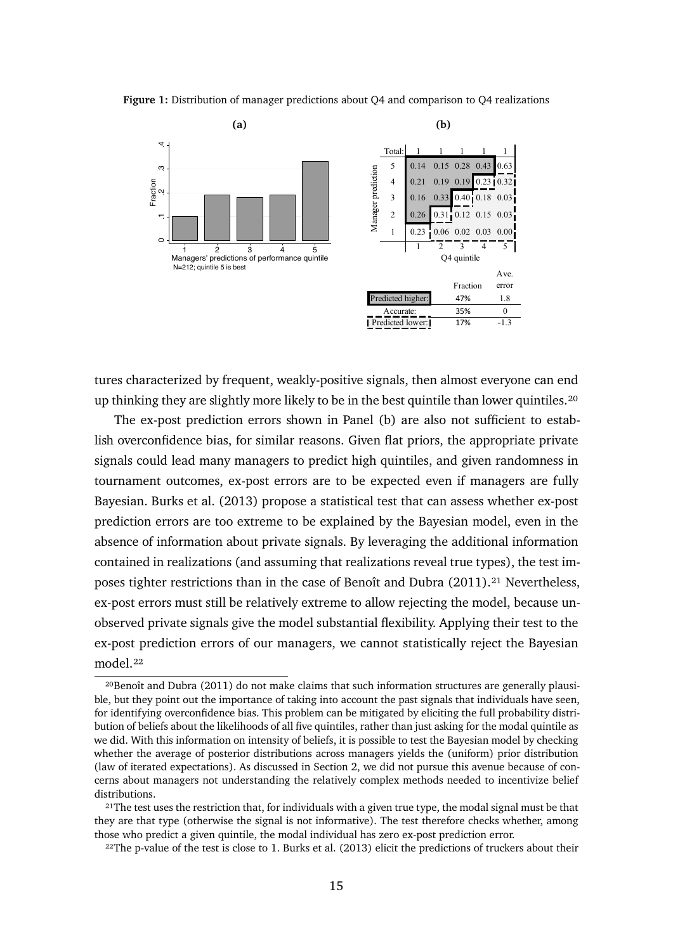**Figure 1:** Distribution of manager predictions about Q4 and comparison to Q4 realizations

<span id="page-15-0"></span>

tures characterized by frequent, weakly-positive signals, then almost everyone can end up thinking they are slightly more likely to be in the best quintile than lower quintiles.<sup>20</sup>

The ex-post prediction errors shown in Panel (b) are also not sufficient to establish overconfidence bias, for similar reasons. Given flat priors, the appropriate private signals could lead many managers to predict high quintiles, and given randomness in tournament outcomes, ex-post errors are to be expected even if managers are fully Bayesian. Burks et al. (2013) propose a statistical test that can assess whether ex-post prediction errors are too extreme to be explained by the Bayesian model, even in the absence of information about private signals. By leveraging the additional information contained in realizations (and assuming that realizations reveal true types), the test imposes tighter restrictions than in the case of Benoît and Dubra (2011).<sup>21</sup> Nevertheless, ex-post errors must still be relatively extreme to allow rejecting the model, because unobserved private signals give the model substantial flexibility. Applying their test to the ex-post prediction errors of our managers, we cannot statistically reject the Bayesian model.<sup>22</sup>

<span id="page-15-1"></span><sup>&</sup>lt;sup>20</sup>Benoît and Dubra (2011) do not make claims that such information structures are generally plausible, but they point out the importance of taking into account the past signals that individuals have seen, for identifying overconfidence bias. This problem can be mitigated by eliciting the full probability distribution of beliefs about the likelihoods of all five quintiles, rather than just asking for the modal quintile as we did. With this information on intensity of beliefs, it is possible to test the Bayesian model by checking whether the average of posterior distributions across managers yields the (uniform) prior distribution (law of iterated expectations). As discussed in Section 2, we did not pursue this avenue because of concerns about managers not understanding the relatively complex methods needed to incentivize belief distributions.

<span id="page-15-2"></span><sup>&</sup>lt;sup>21</sup>The test uses the restriction that, for individuals with a given true type, the modal signal must be that they are that type (otherwise the signal is not informative). The test therefore checks whether, among those who predict a given quintile, the modal individual has zero ex-post prediction error.

<span id="page-15-3"></span> $22$ The p-value of the test is close to 1. Burks et al. (2013) elicit the predictions of truckers about their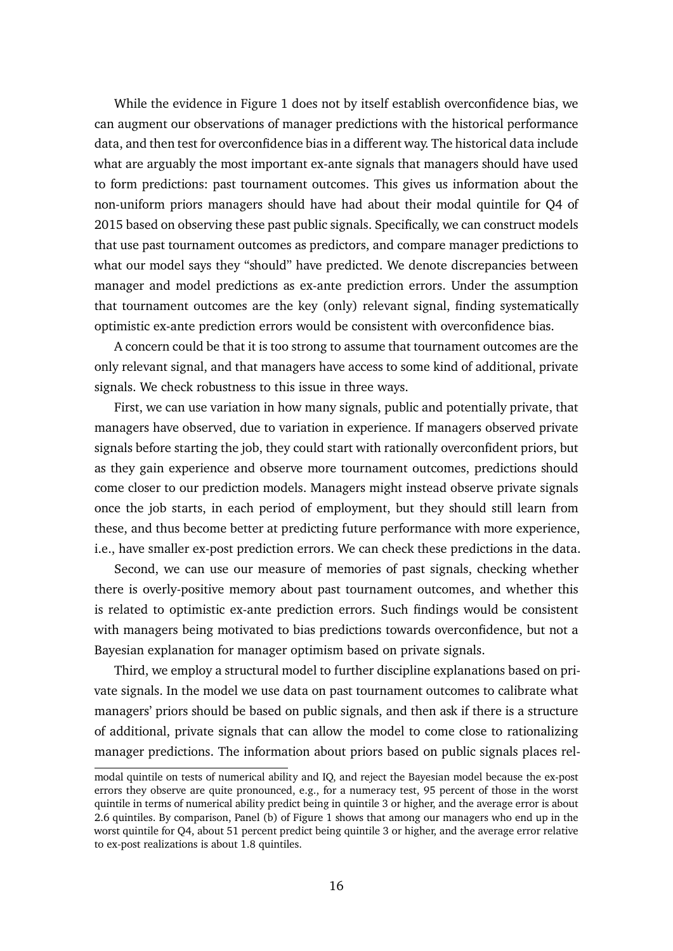While the evidence in Figure 1 does not by itself establish overconfidence bias, we can augment our observations of manager predictions with the historical performance data, and then test for overconfidence bias in a different way. The historical data include what are arguably the most important ex-ante signals that managers should have used to form predictions: past tournament outcomes. This gives us information about the non-uniform priors managers should have had about their modal quintile for Q4 of 2015 based on observing these past public signals. Specifically, we can construct models that use past tournament outcomes as predictors, and compare manager predictions to what our model says they "should" have predicted. We denote discrepancies between manager and model predictions as ex-ante prediction errors. Under the assumption that tournament outcomes are the key (only) relevant signal, finding systematically optimistic ex-ante prediction errors would be consistent with overconfidence bias.

A concern could be that it is too strong to assume that tournament outcomes are the only relevant signal, and that managers have access to some kind of additional, private signals. We check robustness to this issue in three ways.

First, we can use variation in how many signals, public and potentially private, that managers have observed, due to variation in experience. If managers observed private signals before starting the job, they could start with rationally overconfident priors, but as they gain experience and observe more tournament outcomes, predictions should come closer to our prediction models. Managers might instead observe private signals once the job starts, in each period of employment, but they should still learn from these, and thus become better at predicting future performance with more experience, i.e., have smaller ex-post prediction errors. We can check these predictions in the data.

Second, we can use our measure of memories of past signals, checking whether there is overly-positive memory about past tournament outcomes, and whether this is related to optimistic ex-ante prediction errors. Such findings would be consistent with managers being motivated to bias predictions towards overconfidence, but not a Bayesian explanation for manager optimism based on private signals.

Third, we employ a structural model to further discipline explanations based on private signals. In the model we use data on past tournament outcomes to calibrate what managers' priors should be based on public signals, and then ask if there is a structure of additional, private signals that can allow the model to come close to rationalizing manager predictions. The information about priors based on public signals places rel-

modal quintile on tests of numerical ability and IQ, and reject the Bayesian model because the ex-post errors they observe are quite pronounced, e.g., for a numeracy test, 95 percent of those in the worst quintile in terms of numerical ability predict being in quintile 3 or higher, and the average error is about 2.6 quintiles. By comparison, Panel (b) of Figure 1 shows that among our managers who end up in the worst quintile for Q4, about 51 percent predict being quintile 3 or higher, and the average error relative to ex-post realizations is about 1.8 quintiles.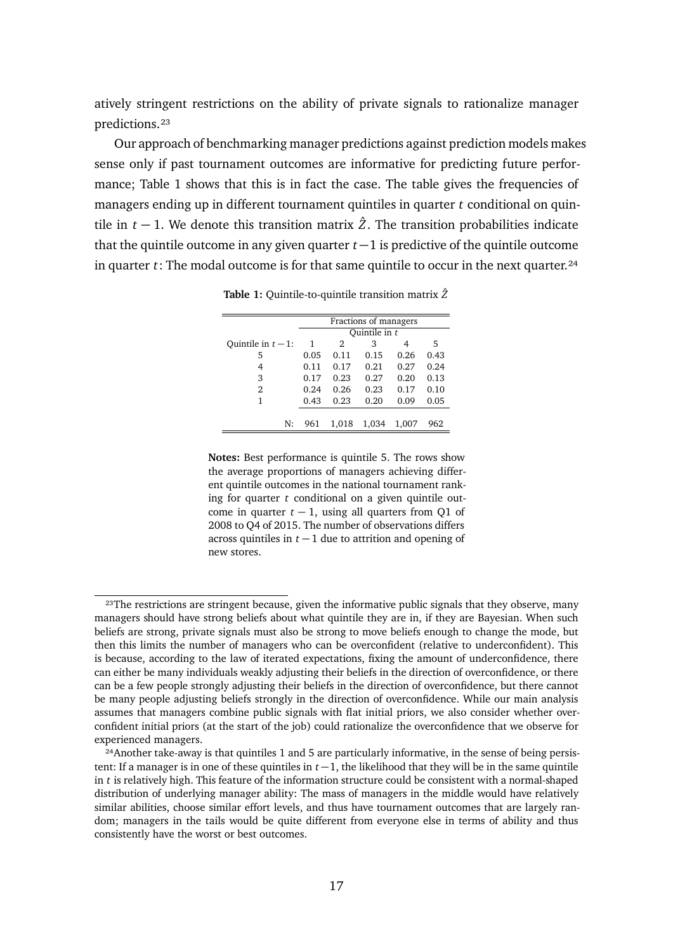atively stringent restrictions on the ability of private signals to rationalize manager predictions.[²³](#page-17-0)

Our approach of benchmarking manager predictions against prediction models makes sense only if past tournament outcomes are informative for predicting future performance; Table [1](#page-17-1) shows that this is in fact the case. The table gives the frequencies of managers ending up in different tournament quintiles in quarter *t* conditional on quintile in  $t - 1$ . We denote this transition matrix  $\hat{Z}$ . The transition probabilities indicate that the quintile outcome in any given quarter  $t-1$  is predictive of the quintile outcome in quarter  $t$ : The modal outcome is for that same quintile to occur in the next quarter.<sup>24</sup>

|                     | Fractions of managers |       |       |       |      |  |  |
|---------------------|-----------------------|-------|-------|-------|------|--|--|
|                     | Quintile in t         |       |       |       |      |  |  |
| Ouintile in $t-1$ : | 1                     | 2     | 3     | 4     | 5    |  |  |
| 5                   | 0.05                  | 0.11  | 0.15  | 0.26  | 0.43 |  |  |
| 4                   | 0.11                  | 0.17  | 0.21  | 0.27  | 0.24 |  |  |
| 3                   | 0.17                  | 0.23  | 0.27  | 0.20  | 0.13 |  |  |
| 2                   | 0.24                  | 0.26  | 0.23  | 0.17  | 0.10 |  |  |
| 1                   | 0.43                  | 0.23  | 0.20  | 0.09  | 0.05 |  |  |
|                     |                       |       |       |       |      |  |  |
| N:                  | 961                   | 1.018 | 1,034 | 1.007 | 962  |  |  |

<span id="page-17-1"></span>**Table 1:** Quintile-to-quintile transition matrix *Z*ˆ

**Notes:** Best performance is quintile 5. The rows show the average proportions of managers achieving different quintile outcomes in the national tournament ranking for quarter *t* conditional on a given quintile outcome in quarter  $t - 1$ , using all quarters from Q1 of 2008 to Q4 of 2015. The number of observations differs across quintiles in  $t - 1$  due to attrition and opening of new stores.

<span id="page-17-0"></span><sup>&</sup>lt;sup>23</sup>The restrictions are stringent because, given the informative public signals that they observe, many managers should have strong beliefs about what quintile they are in, if they are Bayesian. When such beliefs are strong, private signals must also be strong to move beliefs enough to change the mode, but then this limits the number of managers who can be overconfident (relative to underconfident). This is because, according to the law of iterated expectations, fixing the amount of underconfidence, there can either be many individuals weakly adjusting their beliefs in the direction of overconfidence, or there can be a few people strongly adjusting their beliefs in the direction of overconfidence, but there cannot be many people adjusting beliefs strongly in the direction of overconfidence. While our main analysis assumes that managers combine public signals with flat initial priors, we also consider whether overconfident initial priors (at the start of the job) could rationalize the overconfidence that we observe for experienced managers.

<span id="page-17-2"></span><sup>&</sup>lt;sup>24</sup>Another take-away is that quintiles 1 and 5 are particularly informative, in the sense of being persistent: If a manager is in one of these quintiles in  $t-1$ , the likelihood that they will be in the same quintile in *t* is relatively high. This feature of the information structure could be consistent with a normal-shaped distribution of underlying manager ability: The mass of managers in the middle would have relatively similar abilities, choose similar effort levels, and thus have tournament outcomes that are largely random; managers in the tails would be quite different from everyone else in terms of ability and thus consistently have the worst or best outcomes.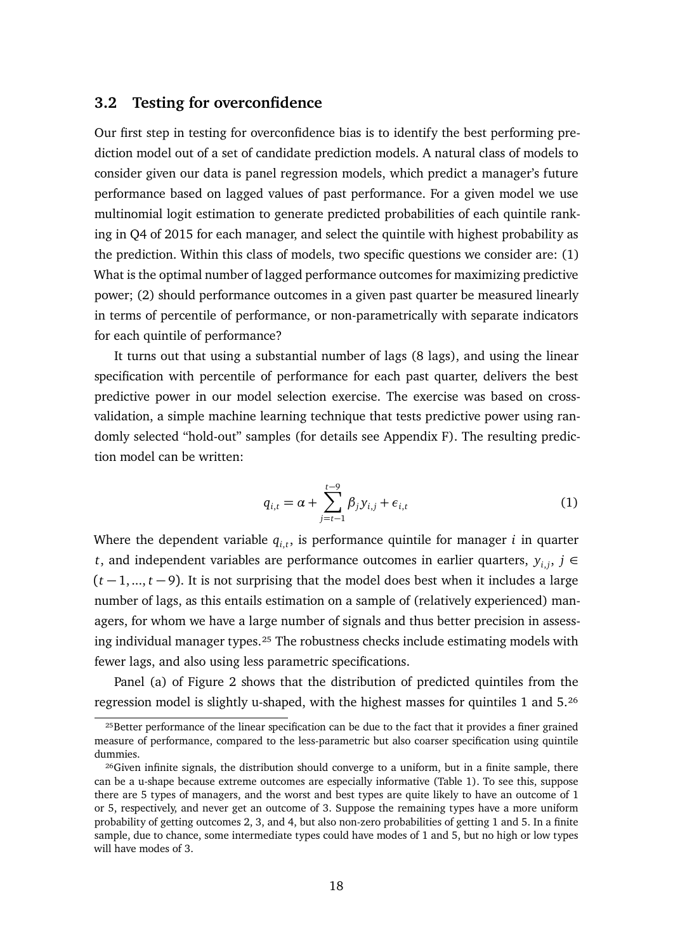### **3.2 Testing for overconfidence**

Our first step in testing for overconfidence bias is to identify the best performing prediction model out of a set of candidate prediction models. A natural class of models to consider given our data is panel regression models, which predict a manager's future performance based on lagged values of past performance. For a given model we use multinomial logit estimation to generate predicted probabilities of each quintile ranking in Q4 of 2015 for each manager, and select the quintile with highest probability as the prediction. Within this class of models, two specific questions we consider are: (1) What is the optimal number of lagged performance outcomes for maximizing predictive power; (2) should performance outcomes in a given past quarter be measured linearly in terms of percentile of performance, or non-parametrically with separate indicators for each quintile of performance?

It turns out that using a substantial number of lags (8 lags), and using the linear specification with percentile of performance for each past quarter, delivers the best predictive power in our model selection exercise. The exercise was based on crossvalidation, a simple machine learning technique that tests predictive power using randomly selected "hold-out" samples (for details see Appendix [F\)](#page-0-5). The resulting prediction model can be written:

$$
q_{i,t} = \alpha + \sum_{j=t-1}^{t-9} \beta_j y_{i,j} + \epsilon_{i,t}
$$
 (1)

Where the dependent variable  $q_{i,t}$ , is performance quintile for manager *i* in quarter *t*, and independent variables are performance outcomes in earlier quarters,  $y_{i,j}$ ,  $j \in$  $(t-1, ..., t-9)$ . It is not surprising that the model does best when it includes a large number of lags, as this entails estimation on a sample of (relatively experienced) managers, for whom we have a large number of signals and thus better precision in assessing individual manager types.<sup>25</sup> The robustness checks include estimating models with fewer lags, and also using less parametric specifications.

Panel (a) of Figure [2](#page-19-0) shows that the distribution of predicted quintiles from the regression model is slightly u-shaped, with the highest masses for quintiles 1 and 5.<sup>26</sup>

<span id="page-18-0"></span><sup>&</sup>lt;sup>25</sup>Better performance of the linear specification can be due to the fact that it provides a finer grained measure of performance, compared to the less-parametric but also coarser specification using quintile dummies.

<span id="page-18-1"></span><sup>&</sup>lt;sup>26</sup>Given infinite signals, the distribution should converge to a uniform, but in a finite sample, there can be a u-shape because extreme outcomes are especially informative (Table [1\)](#page-17-1). To see this, suppose there are 5 types of managers, and the worst and best types are quite likely to have an outcome of 1 or 5, respectively, and never get an outcome of 3. Suppose the remaining types have a more uniform probability of getting outcomes 2, 3, and 4, but also non-zero probabilities of getting 1 and 5. In a finite sample, due to chance, some intermediate types could have modes of 1 and 5, but no high or low types will have modes of 3.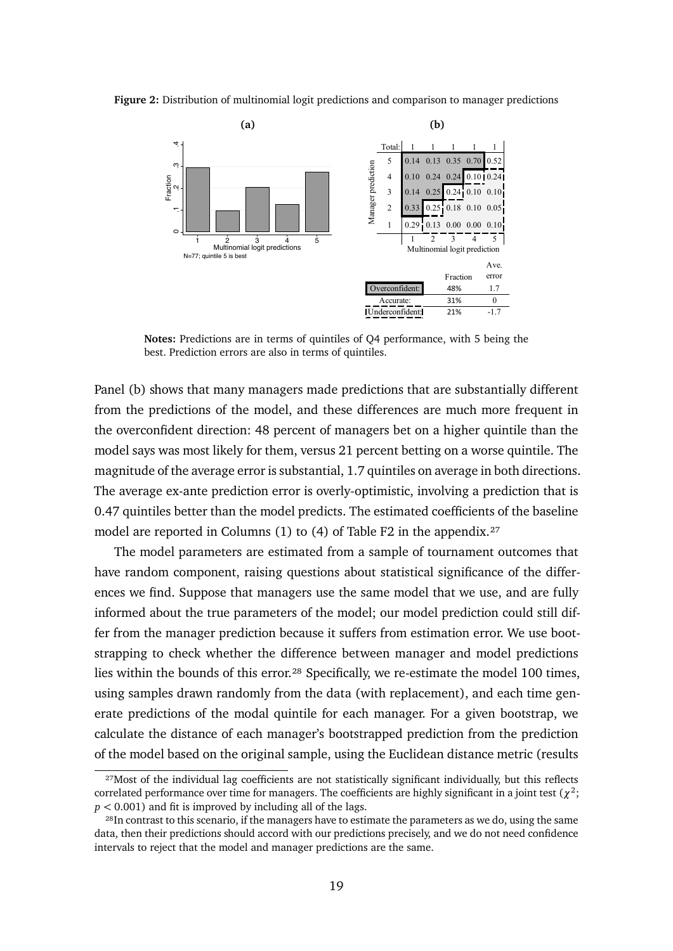**Figure 2:** Distribution of multinomial logit predictions and comparison to manager predictions

<span id="page-19-0"></span>

**Notes:** Predictions are in terms of quintiles of Q4 performance, with 5 being the best. Prediction errors are also in terms of quintiles.

Panel (b) shows that many managers made predictions that are substantially different from the predictions of the model, and these differences are much more frequent in the overconfident direction: 48 percent of managers bet on a higher quintile than the model says was most likely for them, versus 21 percent betting on a worse quintile. The magnitude of the average error is substantial, 1.7 quintiles on average in both directions. The average ex-ante prediction error is overly-optimistic, involving a prediction that is 0.47 quintiles better than the model predicts. The estimated coefficients of the baseline model are reported in Columns (1) to (4) of Table [F2](#page-0-1) in the appendix.<sup>27</sup>

The model parameters are estimated from a sample of tournament outcomes that have random component, raising questions about statistical significance of the differences we find. Suppose that managers use the same model that we use, and are fully informed about the true parameters of the model; our model prediction could still differ from the manager prediction because it suffers from estimation error. We use bootstrapping to check whether the difference between manager and model predictions lies within the bounds of this error.<sup>28</sup> Specifically, we re-estimate the model 100 times, using samples drawn randomly from the data (with replacement), and each time generate predictions of the modal quintile for each manager. For a given bootstrap, we calculate the distance of each manager's bootstrapped prediction from the prediction of the model based on the original sample, using the Euclidean distance metric (results

<span id="page-19-1"></span><sup>&</sup>lt;sup>27</sup>Most of the individual lag coefficients are not statistically significant individually, but this reflects correlated performance over time for managers. The coefficients are highly significant in a joint test ( $\chi^2$ ; *p <* 0.001) and fit is improved by including all of the lags.

<span id="page-19-2"></span><sup>&</sup>lt;sup>28</sup>In contrast to this scenario, if the managers have to estimate the parameters as we do, using the same data, then their predictions should accord with our predictions precisely, and we do not need confidence intervals to reject that the model and manager predictions are the same.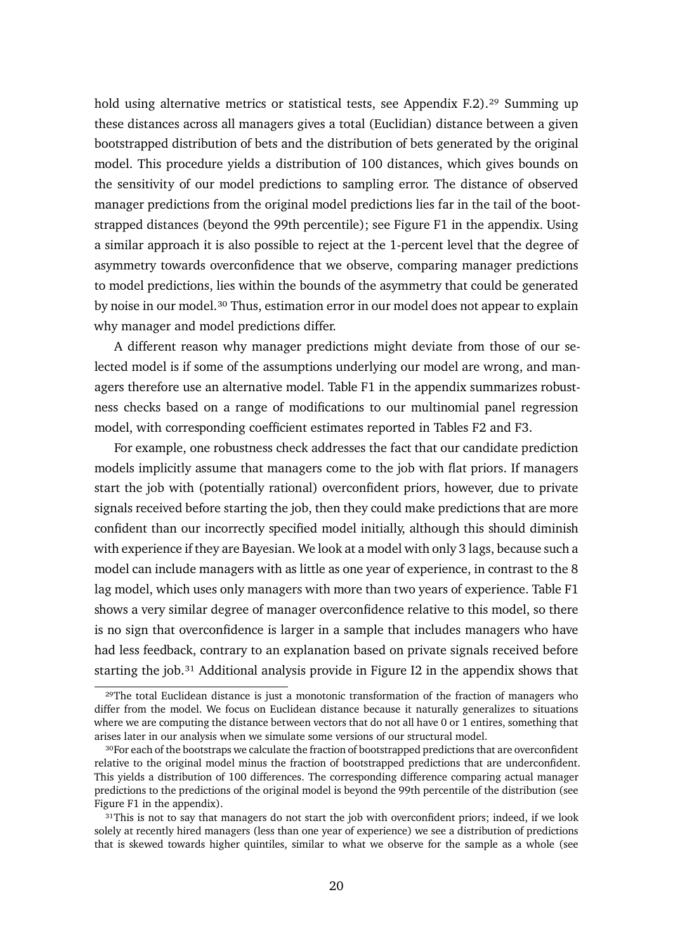hold using alternative metrics or statistical tests, see Appendix [F.2\)](#page-0-3).<sup>29</sup> Summing up these distances across all managers gives a total (Euclidian) distance between a given bootstrapped distribution of bets and the distribution of bets generated by the original model. This procedure yields a distribution of 100 distances, which gives bounds on the sensitivity of our model predictions to sampling error. The distance of observed manager predictions from the original model predictions lies far in the tail of the bootstrapped distances (beyond the 99th percentile); see Figure [F1](#page-0-6) in the appendix. Using a similar approach it is also possible to reject at the 1-percent level that the degree of asymmetry towards overconfidence that we observe, comparing manager predictions to model predictions, lies within the bounds of the asymmetry that could be generated by noise in our model.<sup>30</sup> Thus, estimation error in our model does not appear to explain why manager and model predictions differ.

A different reason why manager predictions might deviate from those of our selected model is if some of the assumptions underlying our model are wrong, and managers therefore use an alternative model. Table [F1](#page-0-7) in the appendix summarizes robustness checks based on a range of modifications to our multinomial panel regression model, with corresponding coefficient estimates reported in Tables [F2](#page-0-1) and [F3.](#page-0-1)

For example, one robustness check addresses the fact that our candidate prediction models implicitly assume that managers come to the job with flat priors. If managers start the job with (potentially rational) overconfident priors, however, due to private signals received before starting the job, then they could make predictions that are more confident than our incorrectly specified model initially, although this should diminish with experience if they are Bayesian. We look at a model with only 3 lags, because such a model can include managers with as little as one year of experience, in contrast to the 8 lag model, which uses only managers with more than two years of experience. Table [F1](#page-0-7) shows a very similar degree of manager overconfidence relative to this model, so there is no sign that overconfidence is larger in a sample that includes managers who have had less feedback, contrary to an explanation based on private signals received before starting the job. $31$  Additional analysis provide in Figure [I2](#page-0-8) in the appendix shows that

<span id="page-20-0"></span><sup>&</sup>lt;sup>29</sup>The total Euclidean distance is just a monotonic transformation of the fraction of managers who differ from the model. We focus on Euclidean distance because it naturally generalizes to situations where we are computing the distance between vectors that do not all have 0 or 1 entires, something that arises later in our analysis when we simulate some versions of our structural model.

<span id="page-20-1"></span><sup>&</sup>lt;sup>30</sup>For each of the bootstraps we calculate the fraction of bootstrapped predictions that are overconfident relative to the original model minus the fraction of bootstrapped predictions that are underconfident. This yields a distribution of 100 differences. The corresponding difference comparing actual manager predictions to the predictions of the original model is beyond the 99th percentile of the distribution (see Figure [F1](#page-0-6) in the appendix).

<span id="page-20-2"></span><sup>&</sup>lt;sup>31</sup>This is not to say that managers do not start the job with overconfident priors; indeed, if we look solely at recently hired managers (less than one year of experience) we see a distribution of predictions that is skewed towards higher quintiles, similar to what we observe for the sample as a whole (see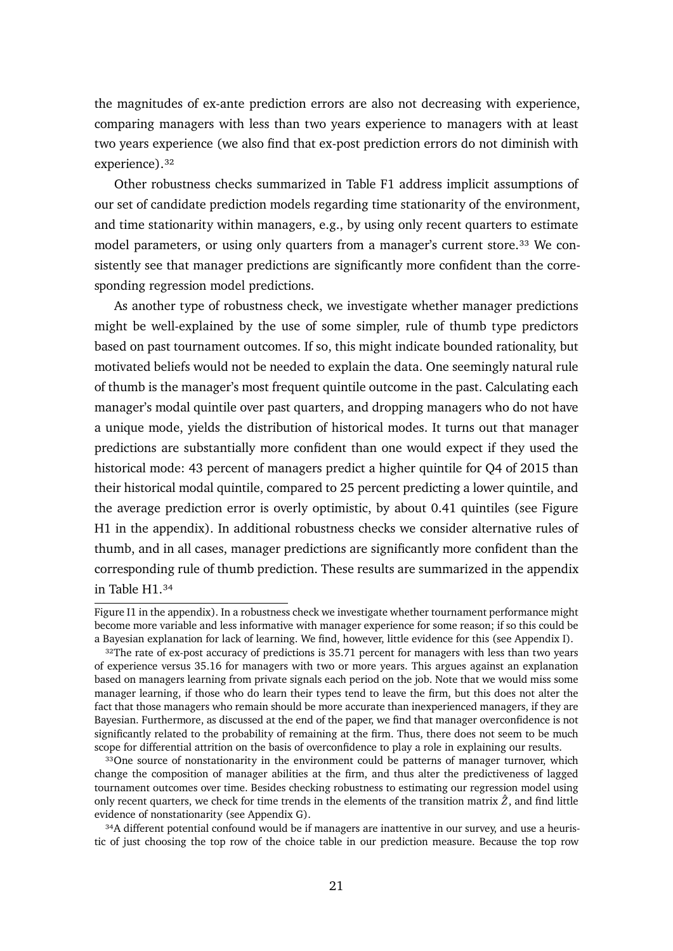the magnitudes of ex-ante prediction errors are also not decreasing with experience, comparing managers with less than two years experience to managers with at least two years experience (we also find that ex-post prediction errors do not diminish with experience).<sup>32</sup>

Other robustness checks summarized in Table [F1](#page-0-7) address implicit assumptions of our set of candidate prediction models regarding time stationarity of the environment, and time stationarity within managers, e.g., by using only recent quarters to estimate model parameters, or using only quarters from a manager's current store.<sup>33</sup> We consistently see that manager predictions are significantly more confident than the corresponding regression model predictions.

As another type of robustness check, we investigate whether manager predictions might be well-explained by the use of some simpler, rule of thumb type predictors based on past tournament outcomes. If so, this might indicate bounded rationality, but motivated beliefs would not be needed to explain the data. One seemingly natural rule of thumb is the manager's most frequent quintile outcome in the past. Calculating each manager's modal quintile over past quarters, and dropping managers who do not have a unique mode, yields the distribution of historical modes. It turns out that manager predictions are substantially more confident than one would expect if they used the historical mode: 43 percent of managers predict a higher quintile for Q4 of 2015 than their historical modal quintile, compared to 25 percent predicting a lower quintile, and the average prediction error is overly optimistic, by about 0.41 quintiles (see Figure [H1](#page-0-9) in the appendix). In additional robustness checks we consider alternative rules of thumb, and in all cases, manager predictions are significantly more confident than the corresponding rule of thumb prediction. These results are summarized in the appendix in Table H1 34

Figure [I1](#page-0-10) in the appendix). In a robustness check we investigate whether tournament performance might become more variable and less informative with manager experience for some reason; if so this could be a Bayesian explanation for lack of learning. We find, however, little evidence for this (see Appendix [I\)](#page-0-11).

<span id="page-21-0"></span><sup>&</sup>lt;sup>32</sup>The rate of ex-post accuracy of predictions is 35.71 percent for managers with less than two years of experience versus 35.16 for managers with two or more years. This argues against an explanation based on managers learning from private signals each period on the job. Note that we would miss some manager learning, if those who do learn their types tend to leave the firm, but this does not alter the fact that those managers who remain should be more accurate than inexperienced managers, if they are Bayesian. Furthermore, as discussed at the end of the paper, we find that manager overconfidence is not significantly related to the probability of remaining at the firm. Thus, there does not seem to be much scope for differential attrition on the basis of overconfidence to play a role in explaining our results.

<span id="page-21-1"></span><sup>&</sup>lt;sup>33</sup>One source of nonstationarity in the environment could be patterns of manager turnover, which change the composition of manager abilities at the firm, and thus alter the predictiveness of lagged tournament outcomes over time. Besides checking robustness to estimating our regression model using only recent quarters, we check for time trends in the elements of the transition matrix  $\hat{Z}$ , and find little evidence of nonstationarity (see Appendix [G\)](#page-0-3).

<span id="page-21-2"></span><sup>&</sup>lt;sup>34</sup>A different potential confound would be if managers are inattentive in our survey, and use a heuristic of just choosing the top row of the choice table in our prediction measure. Because the top row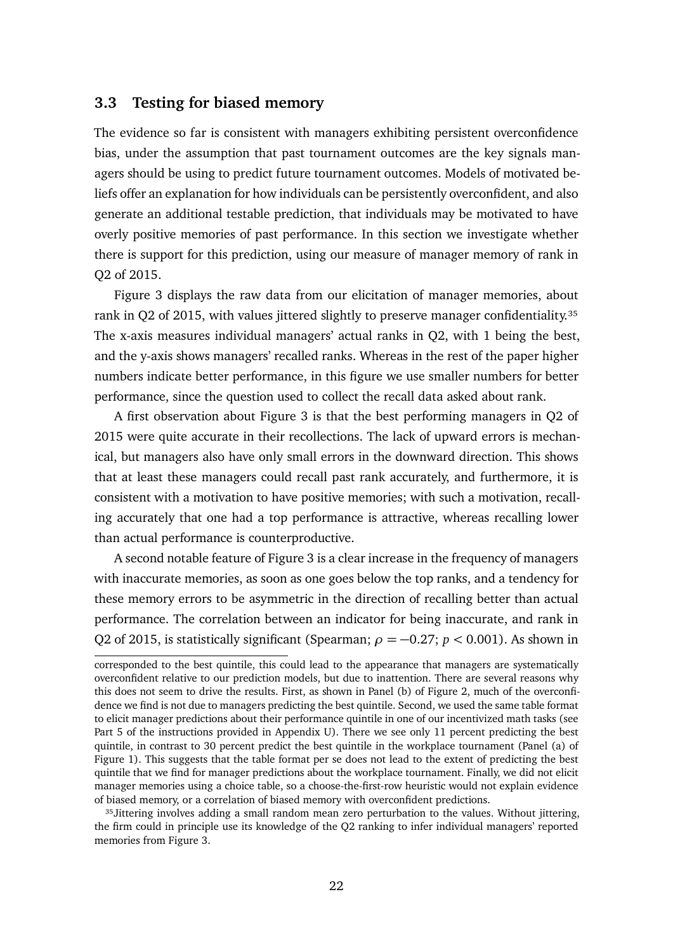#### <span id="page-22-1"></span>**3.3 Testing for biased memory**

The evidence so far is consistent with managers exhibiting persistent overconfidence bias, under the assumption that past tournament outcomes are the key signals managers should be using to predict future tournament outcomes. Models of motivated beliefs offer an explanation for how individuals can be persistently overconfident, and also generate an additional testable prediction, that individuals may be motivated to have overly positive memories of past performance. In this section we investigate whether there is support for this prediction, using our measure of manager memory of rank in Q2 of 2015.

Figure [3](#page-23-0) displays the raw data from our elicitation of manager memories, about rank in Q2 of 2015, with values jittered slightly to preserve manager confidentiality.<sup>35</sup> The x-axis measures individual managers' actual ranks in Q2, with 1 being the best, and the y-axis shows managers' recalled ranks. Whereas in the rest of the paper higher numbers indicate better performance, in this figure we use smaller numbers for better performance, since the question used to collect the recall data asked about rank.

A first observation about Figure [3](#page-23-0) is that the best performing managers in Q2 of 2015 were quite accurate in their recollections. The lack of upward errors is mechanical, but managers also have only small errors in the downward direction. This shows that at least these managers could recall past rank accurately, and furthermore, it is consistent with a motivation to have positive memories; with such a motivation, recalling accurately that one had a top performance is attractive, whereas recalling lower than actual performance is counterproductive.

A second notable feature of Figure [3](#page-23-0) is a clear increase in the frequency of managers with inaccurate memories, as soon as one goes below the top ranks, and a tendency for these memory errors to be asymmetric in the direction of recalling better than actual performance. The correlation between an indicator for being inaccurate, and rank in Q2 of 2015, is statistically significant (Spearman;  $\rho = -0.27$ ;  $p < 0.001$ ). As shown in

<span id="page-22-0"></span>35 Jittering involves adding a small random mean zero perturbation to the values. Without jittering, the firm could in principle use its knowledge of the Q2 ranking to infer individual managers' reported memories from Figure [3.](#page-23-0)

corresponded to the best quintile, this could lead to the appearance that managers are systematically overconfident relative to our prediction models, but due to inattention. There are several reasons why this does not seem to drive the results. First, as shown in Panel (b) of Figure 2, much of the overconfidence we find is not due to managers predicting the best quintile. Second, we used the same table format to elicit manager predictions about their performance quintile in one of our incentivized math tasks (see Part 5 of the instructions provided in Appendix U). There we see only 11 percent predicting the best quintile, in contrast to 30 percent predict the best quintile in the workplace tournament (Panel (a) of Figure 1). This suggests that the table format per se does not lead to the extent of predicting the best quintile that we find for manager predictions about the workplace tournament. Finally, we did not elicit manager memories using a choice table, so a choose-the-first-row heuristic would not explain evidence of biased memory, or a correlation of biased memory with overconfident predictions.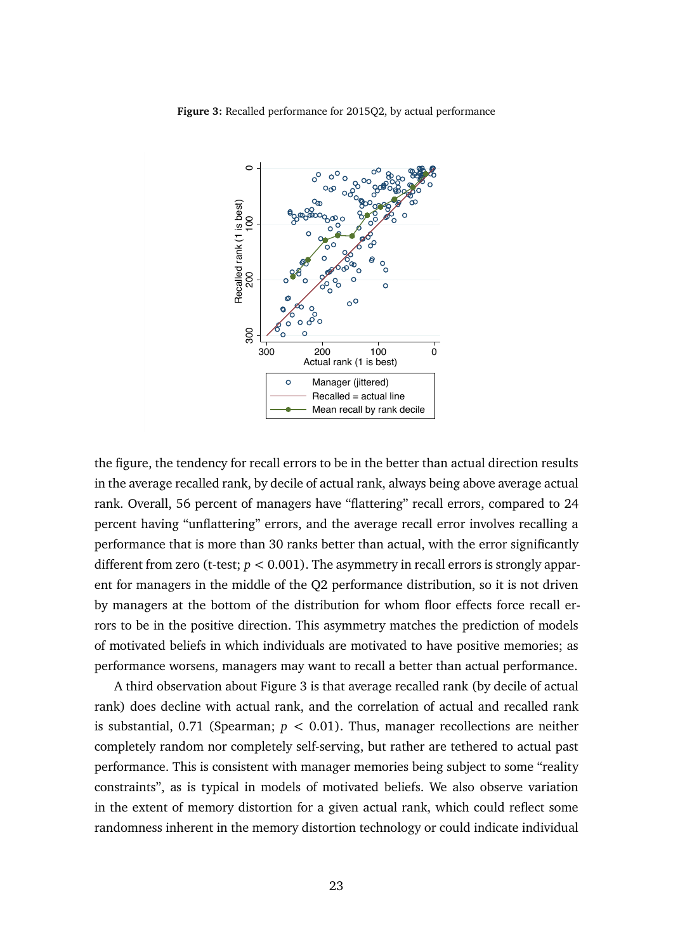<span id="page-23-0"></span>**Figure 3:** Recalled performance for 2015Q2, by actual performance



the figure, the tendency for recall errors to be in the better than actual direction results in the average recalled rank, by decile of actual rank, always being above average actual rank. Overall, 56 percent of managers have "flattering" recall errors, compared to 24 percent having "unflattering" errors, and the average recall error involves recalling a performance that is more than 30 ranks better than actual, with the error significantly different from zero (t-test; *p <* 0.001). The asymmetry in recall errors is strongly apparent for managers in the middle of the Q2 performance distribution, so it is not driven by managers at the bottom of the distribution for whom floor effects force recall errors to be in the positive direction. This asymmetry matches the prediction of models of motivated beliefs in which individuals are motivated to have positive memories; as performance worsens, managers may want to recall a better than actual performance.

A third observation about Figure [3](#page-23-0) is that average recalled rank (by decile of actual rank) does decline with actual rank, and the correlation of actual and recalled rank is substantial, 0.71 (Spearman;  $p < 0.01$ ). Thus, manager recollections are neither completely random nor completely self-serving, but rather are tethered to actual past performance. This is consistent with manager memories being subject to some "reality constraints", as is typical in models of motivated beliefs. We also observe variation in the extent of memory distortion for a given actual rank, which could reflect some randomness inherent in the memory distortion technology or could indicate individual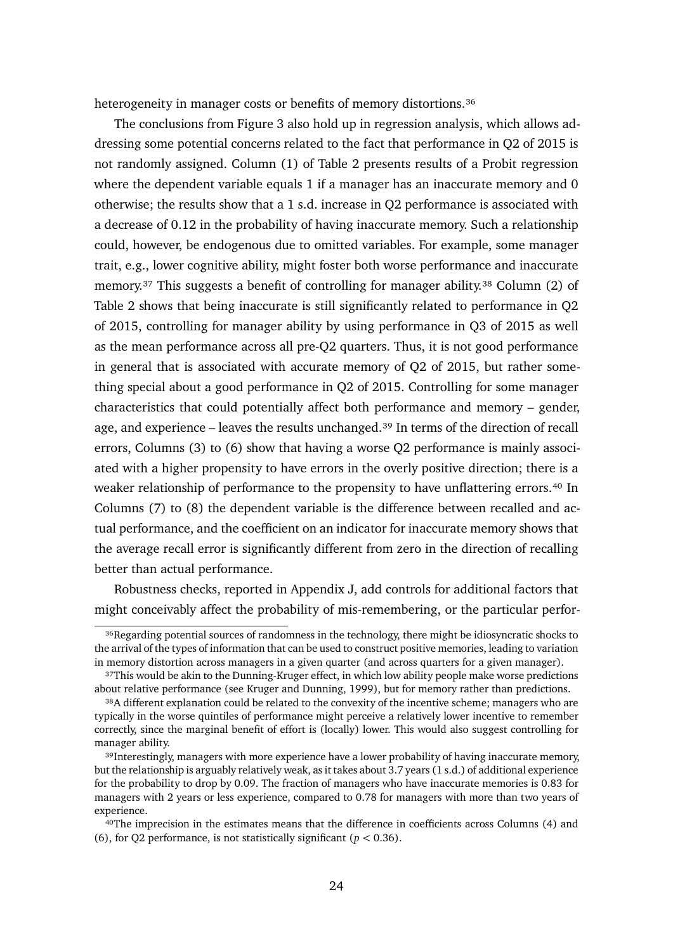heterogeneity in manager costs or benefits of memory distortions.<sup>36</sup>

The conclusions from Figure [3](#page-23-0) also hold up in regression analysis, which allows addressing some potential concerns related to the fact that performance in Q2 of 2015 is not randomly assigned. Column (1) of Table [2](#page-25-0) presents results of a Probit regression where the dependent variable equals 1 if a manager has an inaccurate memory and 0 otherwise; the results show that a 1 s.d. increase in Q2 performance is associated with a decrease of 0.12 in the probability of having inaccurate memory. Such a relationship could, however, be endogenous due to omitted variables. For example, some manager trait, e.g., lower cognitive ability, might foster both worse performance and inaccurate memory.<sup>37</sup> This suggests a benefit of controlling for manager ability.<sup>38</sup> Column (2) of Table [2](#page-25-0) shows that being inaccurate is still significantly related to performance in Q2 of 2015, controlling for manager ability by using performance in Q3 of 2015 as well as the mean performance across all pre-Q2 quarters. Thus, it is not good performance in general that is associated with accurate memory of Q2 of 2015, but rather something special about a good performance in Q2 of 2015. Controlling for some manager characteristics that could potentially affect both performance and memory – gender, age, and experience – leaves the results unchanged.<sup>39</sup> In terms of the direction of recall errors, Columns (3) to (6) show that having a worse Q2 performance is mainly associated with a higher propensity to have errors in the overly positive direction; there is a weaker relationship of performance to the propensity to have unflattering errors.<sup>40</sup> In Columns (7) to (8) the dependent variable is the difference between recalled and actual performance, and the coefficient on an indicator for inaccurate memory shows that the average recall error is significantly different from zero in the direction of recalling better than actual performance.

Robustness checks, reported in Appendix [J,](#page-0-3) add controls for additional factors that might conceivably affect the probability of mis-remembering, or the particular perfor-

<span id="page-24-0"></span><sup>&</sup>lt;sup>36</sup>Regarding potential sources of randomness in the technology, there might be idiosyncratic shocks to the arrival of the types of information that can be used to construct positive memories, leading to variation in memory distortion across managers in a given quarter (and across quarters for a given manager).

<span id="page-24-1"></span><sup>&</sup>lt;sup>37</sup>This would be akin to the Dunning-Kruger effect, in which low ability people make worse predictions about relative performance (see Kruger and Dunning, 1999), but for memory rather than predictions.

<span id="page-24-2"></span><sup>38</sup>A different explanation could be related to the convexity of the incentive scheme; managers who are typically in the worse quintiles of performance might perceive a relatively lower incentive to remember correctly, since the marginal benefit of effort is (locally) lower. This would also suggest controlling for manager ability.

<span id="page-24-3"></span><sup>&</sup>lt;sup>39</sup>Interestingly, managers with more experience have a lower probability of having inaccurate memory, but the relationship is arguably relatively weak, as it takes about 3.7 years (1 s.d.) of additional experience for the probability to drop by 0.09. The fraction of managers who have inaccurate memories is 0.83 for managers with 2 years or less experience, compared to 0.78 for managers with more than two years of experience.

<span id="page-24-4"></span>⁴⁰The imprecision in the estimates means that the difference in coefficients across Columns (4) and (6), for Q2 performance, is not statistically significant ( $p < 0.36$ ).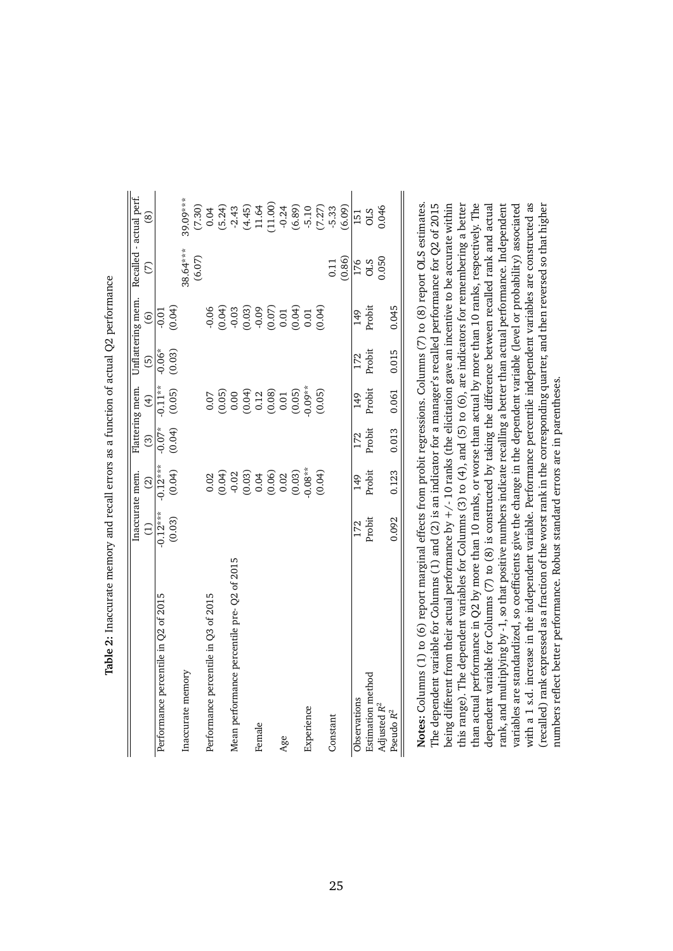<span id="page-25-0"></span>

|                                             | Inaccurate mem. |                                                                                                   |          | Flattering mem.                                                                       |          | Unflattering mem.                                  | Recalled - actual perf. |                                                                  |
|---------------------------------------------|-----------------|---------------------------------------------------------------------------------------------------|----------|---------------------------------------------------------------------------------------|----------|----------------------------------------------------|-------------------------|------------------------------------------------------------------|
|                                             | $\widehat{\Xi}$ | $\widehat{\mathfrak{D}}$                                                                          | $\odot$  | $\bigoplus$                                                                           | $\odot$  | $\odot$                                            | E                       | ඔ                                                                |
| Performance percentile in Q2 of 2015        | $-0.12***$      | $-0.12***$                                                                                        | $-0.07*$ | $-0.11**$                                                                             | $-0.06*$ | $-0.01$                                            |                         |                                                                  |
|                                             | (0.03)          | (0.04)                                                                                            | (0.04)   | (0.05)                                                                                | (0.03)   | (0.04)                                             |                         |                                                                  |
| Inaccurate memory                           |                 |                                                                                                   |          |                                                                                       |          |                                                    | 38.64***                | 39.09***                                                         |
|                                             |                 |                                                                                                   |          |                                                                                       |          |                                                    | (6.07)                  |                                                                  |
| Performance percentile in Q3 of 2015        |                 | 0.02                                                                                              |          | 0.07                                                                                  |          | $-0.06$                                            |                         |                                                                  |
|                                             |                 |                                                                                                   |          |                                                                                       |          | (0.04)                                             |                         | $(7.30)$<br>0.04<br>(5.24)                                       |
| Mean performance percentile pre- Q2 of 2015 |                 |                                                                                                   |          |                                                                                       |          |                                                    |                         |                                                                  |
|                                             |                 |                                                                                                   |          |                                                                                       |          |                                                    |                         |                                                                  |
| Female                                      |                 |                                                                                                   |          |                                                                                       |          |                                                    |                         |                                                                  |
|                                             |                 | $\begin{array}{l} (0.04) \\ 0.02 \\ -0.03 \\ 0.04 \\ 0.06 \\ 0.02 \\ 0.03 \\ 0.03 \\ \end{array}$ |          | $\begin{array}{c} (0.05) \\ 0.00 \\ 0.04 \\ 0.12 \\ 0.03 \\ 0.01 \\ 0.01 \end{array}$ |          | $-0.03$<br>$-0.03$<br>$-0.07$<br>$-0.07$<br>$0.01$ |                         | $-2.43$<br>$(4.45)$<br>$11.64$<br>$-0.24$<br>$-0.24$<br>$(6.89)$ |
| Age                                         |                 |                                                                                                   |          |                                                                                       |          |                                                    |                         |                                                                  |
|                                             |                 |                                                                                                   |          | (0.05)                                                                                |          | (0.04)                                             |                         |                                                                  |
| Experience                                  |                 | $0.08**$                                                                                          |          | $0.09**$                                                                              |          | 0.01                                               |                         |                                                                  |
|                                             |                 | (0.04)                                                                                            |          | (0.05)                                                                                |          | (0.04)                                             |                         | $-5.10$<br>$(7.27)$<br>$-5.33$                                   |
| Constant                                    |                 |                                                                                                   |          |                                                                                       |          |                                                    | $\overline{0.11}$       |                                                                  |
|                                             |                 |                                                                                                   |          |                                                                                       |          |                                                    | (0.86)                  | (6.09)                                                           |
| Observations                                | 172             | 149                                                                                               | 172      | 149                                                                                   | 172      | $\frac{49}{5}$                                     |                         | 151                                                              |
| Estimation method                           | Probit          | Probit                                                                                            | Probit   | Probit                                                                                | Probit   | Probit                                             | 176<br>OLS              | STO                                                              |
| Adjusted R <sup>2</sup>                     |                 |                                                                                                   |          |                                                                                       |          |                                                    | 0.050                   | 0.046                                                            |
| Pseudo $R^2$                                | 0.092           | 0.123                                                                                             | 0.013    | 0.061                                                                                 | 0.015    | 0.045                                              |                         |                                                                  |

Table 2: Inaccurate memory and recall errors as a function of actual Q2 performance **Table 2:** Inaccurate memory and recall errors as a function of actual Q2 performance

than actual performance in Q2 by more than 10 ranks, or worse than actual by more than 10 ranks, respectively. The with a 1 s.d. increase in the independent variable. Performance percentile independent variables are constructed as Notes: Columns (1) to (6) report marginal effects from probit regressions. Columns (7) to (8) report OLS estimates. **Notes:** Columns (1) to (6) report marginal effects from probit regressions. Columns (7) to (8) report OLS estimates. The dependent variable for Columns (1) and (2) is an indicator for a manager's recalled performance for Q2 of 2015 being different from their actual performance by  $+/-10$  ranks (the elicitation gave an incentive to be accurate within this range). The dependent variables for Columns (3) to (4), and (5) to (6), are indicators for remembering a better dependent variable for Columns (7) to (8) is constructed by taking the difference between recalled rank and actual rank, and multiplying by -1, so that positive numbers indicate recalling a better than actual performance. Independent variables are standardized, so coefficients give the change in the dependent variable (level or probability) associated recalled) rank expressed as a fraction of the worst rank in the corresponding quarter, and then reversed so that higher being different from their actual performance by  $+/-$  10 ranks (the elicitation gave an incentive to be accurate within this range). The dependent variables for Columns (3) to (4), and (5) to (6), are indicators for remembering a better than actual performance in Q2 by more than 10 ranks, or worse than actual by more than 10 ranks, respectively. The dependent variable for Columns (7) to (8) is constructed by taking the difference between recalled rank and actual rank, and multiplying by -1, so that positive numbers indicate recalling a better than actual performance. Independent variables are standardized, so coefficients give the change in the dependent variable (level or probability) associated with a 1 s.d. increase in the independent variable. Performance percentile independent variables are constructed as (recalled) rank expressed as a fraction of the worst rank in the corresponding quarter, and then reversed so that higher The dependent variable for Columns (1) and (2) is an indicator for a manager's recalled performance for Q2 of 2015 numbers reflect better performance. Robust standard errors are in parentheses. numbers reflect better performance. Robust standard errors are in parentheses.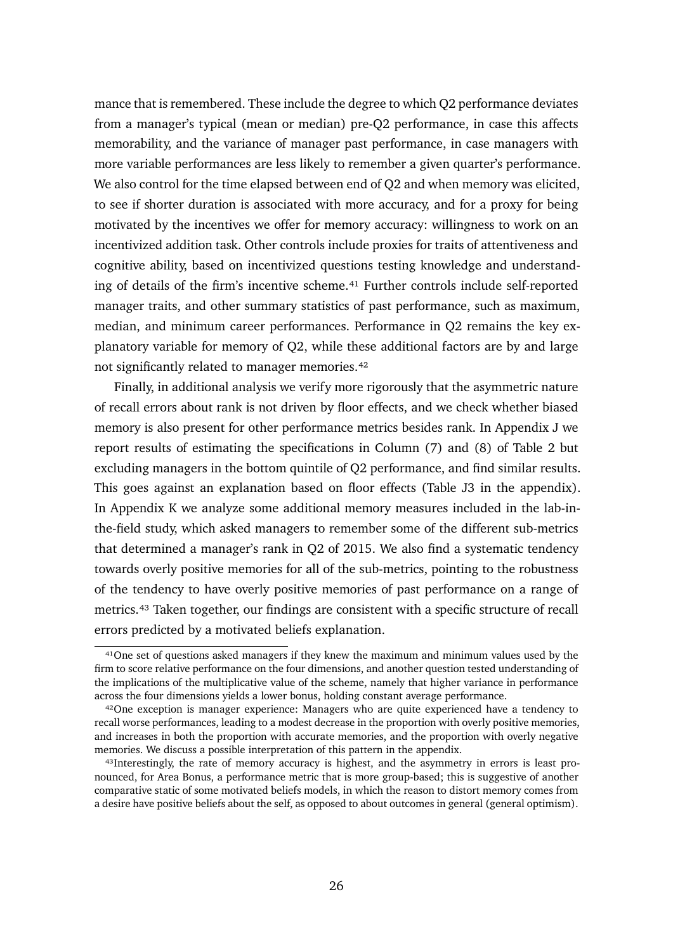mance that is remembered. These include the degree to which Q2 performance deviates from a manager's typical (mean or median) pre-Q2 performance, in case this affects memorability, and the variance of manager past performance, in case managers with more variable performances are less likely to remember a given quarter's performance. We also control for the time elapsed between end of Q2 and when memory was elicited, to see if shorter duration is associated with more accuracy, and for a proxy for being motivated by the incentives we offer for memory accuracy: willingness to work on an incentivized addition task. Other controls include proxies for traits of attentiveness and cognitive ability, based on incentivized questions testing knowledge and understanding of details of the firm's incentive scheme.<sup>41</sup> Further controls include self-reported manager traits, and other summary statistics of past performance, such as maximum, median, and minimum career performances. Performance in Q2 remains the key explanatory variable for memory of Q2, while these additional factors are by and large not significantly related to manager memories.<sup>42</sup>

Finally, in additional analysis we verify more rigorously that the asymmetric nature of recall errors about rank is not driven by floor effects, and we check whether biased memory is also present for other performance metrics besides rank. In Appendix [J](#page-0-3) we report results of estimating the specifications in Column (7) and (8) of Table [2](#page-25-0) but excluding managers in the bottom quintile of Q2 performance, and find similar results. This goes against an explanation based on floor effects (Table [J3](#page-0-12) in the appendix). In Appendix [K](#page-0-3) we analyze some additional memory measures included in the lab-inthe-field study, which asked managers to remember some of the different sub-metrics that determined a manager's rank in Q2 of 2015. We also find a systematic tendency towards overly positive memories for all of the sub-metrics, pointing to the robustness of the tendency to have overly positive memories of past performance on a range of metrics.<sup>43</sup> Taken together, our findings are consistent with a specific structure of recall errors predicted by a motivated beliefs explanation.

<span id="page-26-0"></span><sup>&</sup>lt;sup>41</sup>One set of questions asked managers if they knew the maximum and minimum values used by the firm to score relative performance on the four dimensions, and another question tested understanding of the implications of the multiplicative value of the scheme, namely that higher variance in performance across the four dimensions yields a lower bonus, holding constant average performance.

<span id="page-26-1"></span><sup>&</sup>lt;sup>42</sup>One exception is manager experience: Managers who are quite experienced have a tendency to recall worse performances, leading to a modest decrease in the proportion with overly positive memories, and increases in both the proportion with accurate memories, and the proportion with overly negative memories. We discuss a possible interpretation of this pattern in the appendix.

<span id="page-26-2"></span><sup>&</sup>lt;sup>43</sup>Interestingly, the rate of memory accuracy is highest, and the asymmetry in errors is least pronounced, for Area Bonus, a performance metric that is more group-based; this is suggestive of another comparative static of some motivated beliefs models, in which the reason to distort memory comes from a desire have positive beliefs about the self, as opposed to about outcomes in general (general optimism).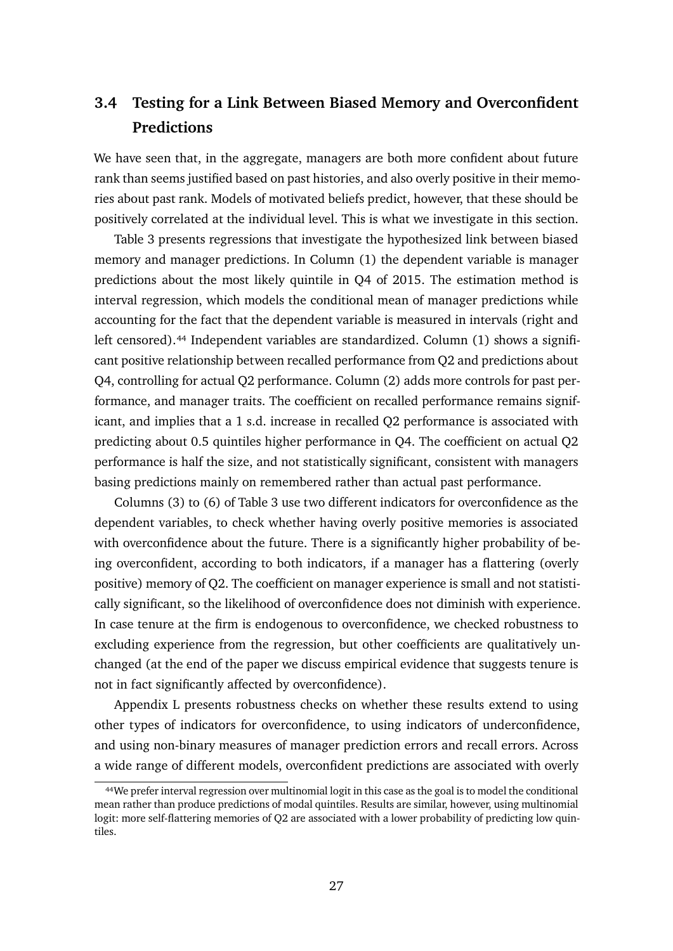# **3.4 Testing for a Link Between Biased Memory and Overconfident Predictions**

We have seen that, in the aggregate, managers are both more confident about future rank than seems justified based on past histories, and also overly positive in their memories about past rank. Models of motivated beliefs predict, however, that these should be positively correlated at the individual level. This is what we investigate in this section.

Table [3](#page-28-0) presents regressions that investigate the hypothesized link between biased memory and manager predictions. In Column (1) the dependent variable is manager predictions about the most likely quintile in Q4 of 2015. The estimation method is interval regression, which models the conditional mean of manager predictions while accounting for the fact that the dependent variable is measured in intervals (right and left censored).<sup>44</sup> Independent variables are standardized. Column (1) shows a significant positive relationship between recalled performance from Q2 and predictions about Q4, controlling for actual Q2 performance. Column (2) adds more controls for past performance, and manager traits. The coefficient on recalled performance remains significant, and implies that a 1 s.d. increase in recalled Q2 performance is associated with predicting about 0.5 quintiles higher performance in Q4. The coefficient on actual Q2 performance is half the size, and not statistically significant, consistent with managers basing predictions mainly on remembered rather than actual past performance.

Columns (3) to (6) of Table [3](#page-28-0) use two different indicators for overconfidence as the dependent variables, to check whether having overly positive memories is associated with overconfidence about the future. There is a significantly higher probability of being overconfident, according to both indicators, if a manager has a flattering (overly positive) memory of Q2. The coefficient on manager experience is small and not statistically significant, so the likelihood of overconfidence does not diminish with experience. In case tenure at the firm is endogenous to overconfidence, we checked robustness to excluding experience from the regression, but other coefficients are qualitatively unchanged (at the end of the paper we discuss empirical evidence that suggests tenure is not in fact significantly affected by overconfidence).

Appendix [L](#page-0-3) presents robustness checks on whether these results extend to using other types of indicators for overconfidence, to using indicators of underconfidence, and using non-binary measures of manager prediction errors and recall errors. Across a wide range of different models, overconfident predictions are associated with overly

<span id="page-27-0"></span>⁴⁴We prefer interval regression over multinomial logit in this case as the goal is to model the conditional mean rather than produce predictions of modal quintiles. Results are similar, however, using multinomial logit: more self-flattering memories of Q2 are associated with a lower probability of predicting low quintiles.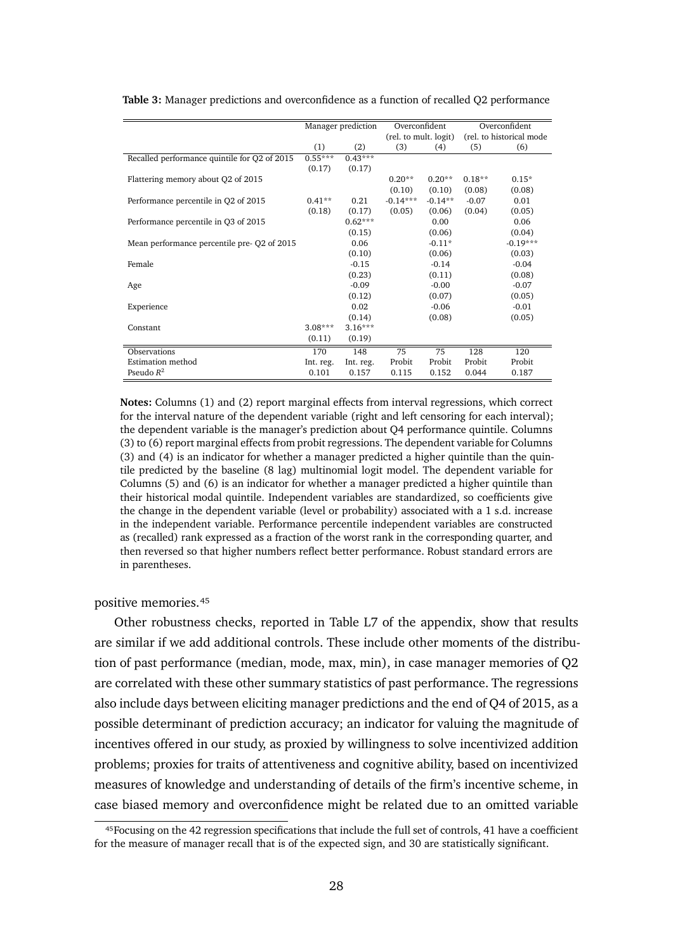|                                              | Manager prediction |           | Overconfident         |           | Overconfident            |            |
|----------------------------------------------|--------------------|-----------|-----------------------|-----------|--------------------------|------------|
|                                              |                    |           | (rel. to mult. logit) |           | (rel. to historical mode |            |
|                                              | (1)                | (2)       | (3)                   | (4)       | (5)                      | (6)        |
| Recalled performance quintile for Q2 of 2015 | $0.55***$          | $0.43***$ |                       |           |                          |            |
|                                              | (0.17)             | (0.17)    |                       |           |                          |            |
| Flattering memory about Q2 of 2015           |                    |           | $0.20**$              | $0.20**$  | $0.18**$                 | $0.15*$    |
|                                              |                    |           | (0.10)                | (0.10)    | (0.08)                   | (0.08)     |
| Performance percentile in Q2 of 2015         | $0.41**$           | 0.21      | $-0.14***$            | $-0.14**$ | $-0.07$                  | 0.01       |
|                                              | (0.18)             | (0.17)    | (0.05)                | (0.06)    | (0.04)                   | (0.05)     |
| Performance percentile in Q3 of 2015         |                    | $0.62***$ |                       | 0.00      |                          | 0.06       |
|                                              |                    | (0.15)    |                       | (0.06)    |                          | (0.04)     |
| Mean performance percentile pre-Q2 of 2015   |                    | 0.06      |                       | $-0.11*$  |                          | $-0.19***$ |
|                                              |                    | (0.10)    |                       | (0.06)    |                          | (0.03)     |
| Female                                       |                    | $-0.15$   |                       | $-0.14$   |                          | $-0.04$    |
|                                              |                    | (0.23)    |                       | (0.11)    |                          | (0.08)     |
| Age                                          |                    | $-0.09$   |                       | $-0.00$   |                          | $-0.07$    |
|                                              |                    | (0.12)    |                       | (0.07)    |                          | (0.05)     |
| Experience                                   |                    | 0.02      |                       | $-0.06$   |                          | $-0.01$    |
|                                              |                    | (0.14)    |                       | (0.08)    |                          | (0.05)     |
| Constant                                     | $3.08***$          | $3.16***$ |                       |           |                          |            |
|                                              | (0.11)             | (0.19)    |                       |           |                          |            |
| Observations                                 | 170                | 148       | 75                    | 75        | 128                      | 120        |
| Estimation method                            | Int. reg.          | Int. reg. | Probit                | Probit    | Probit                   | Probit     |
| Pseudo $R^2$                                 | 0.101              | 0.157     | 0.115                 | 0.152     | 0.044                    | 0.187      |

<span id="page-28-0"></span>**Table 3:** Manager predictions and overconfidence as a function of recalled Q2 performance

**Notes:** Columns (1) and (2) report marginal effects from interval regressions, which correct for the interval nature of the dependent variable (right and left censoring for each interval); the dependent variable is the manager's prediction about Q4 performance quintile. Columns (3) to (6) report marginal effects from probit regressions. The dependent variable for Columns (3) and (4) is an indicator for whether a manager predicted a higher quintile than the quintile predicted by the baseline (8 lag) multinomial logit model. The dependent variable for Columns (5) and (6) is an indicator for whether a manager predicted a higher quintile than their historical modal quintile. Independent variables are standardized, so coefficients give the change in the dependent variable (level or probability) associated with a 1 s.d. increase in the independent variable. Performance percentile independent variables are constructed as (recalled) rank expressed as a fraction of the worst rank in the corresponding quarter, and then reversed so that higher numbers reflect better performance. Robust standard errors are in parentheses.

positive memories.<sup>45</sup>

Other robustness checks, reported in Table [L7](#page-0-1) of the appendix, show that results are similar if we add additional controls. These include other moments of the distribution of past performance (median, mode, max, min), in case manager memories of Q2 are correlated with these other summary statistics of past performance. The regressions also include days between eliciting manager predictions and the end of Q4 of 2015, as a possible determinant of prediction accuracy; an indicator for valuing the magnitude of incentives offered in our study, as proxied by willingness to solve incentivized addition problems; proxies for traits of attentiveness and cognitive ability, based on incentivized measures of knowledge and understanding of details of the firm's incentive scheme, in case biased memory and overconfidence might be related due to an omitted variable

<span id="page-28-1"></span>⁴⁵Focusing on the 42 regression specifications that include the full set of controls, 41 have a coefficient for the measure of manager recall that is of the expected sign, and 30 are statistically significant.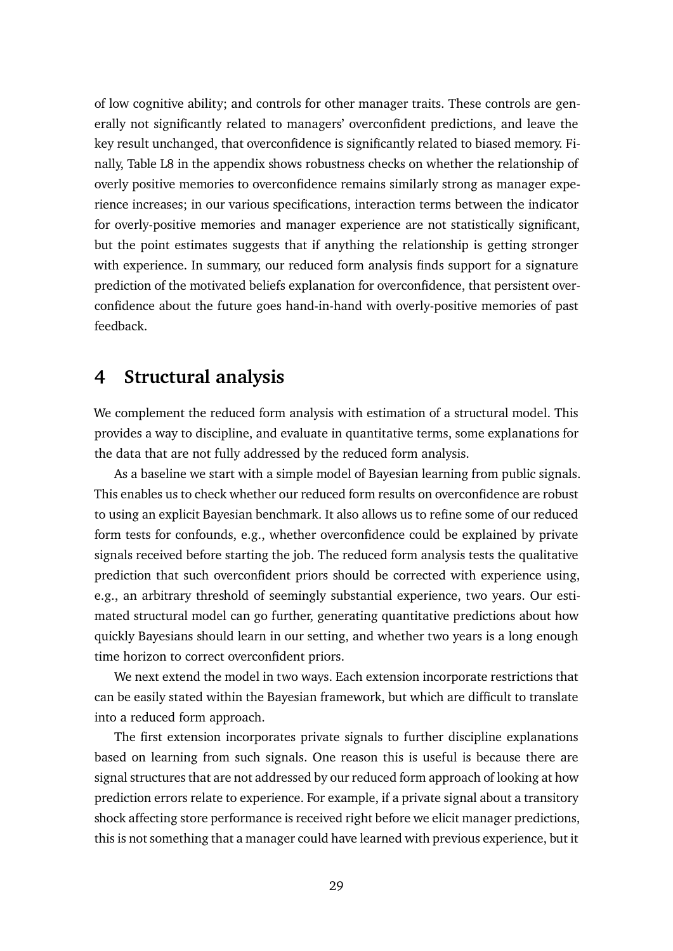of low cognitive ability; and controls for other manager traits. These controls are generally not significantly related to managers' overconfident predictions, and leave the key result unchanged, that overconfidence is significantly related to biased memory. Finally, Table [L8](#page-0-1) in the appendix shows robustness checks on whether the relationship of overly positive memories to overconfidence remains similarly strong as manager experience increases; in our various specifications, interaction terms between the indicator for overly-positive memories and manager experience are not statistically significant, but the point estimates suggests that if anything the relationship is getting stronger with experience. In summary, our reduced form analysis finds support for a signature prediction of the motivated beliefs explanation for overconfidence, that persistent overconfidence about the future goes hand-in-hand with overly-positive memories of past feedback.

# **4 Structural analysis**

We complement the reduced form analysis with estimation of a structural model. This provides a way to discipline, and evaluate in quantitative terms, some explanations for the data that are not fully addressed by the reduced form analysis.

As a baseline we start with a simple model of Bayesian learning from public signals. This enables us to check whether our reduced form results on overconfidence are robust to using an explicit Bayesian benchmark. It also allows us to refine some of our reduced form tests for confounds, e.g., whether overconfidence could be explained by private signals received before starting the job. The reduced form analysis tests the qualitative prediction that such overconfident priors should be corrected with experience using, e.g., an arbitrary threshold of seemingly substantial experience, two years. Our estimated structural model can go further, generating quantitative predictions about how quickly Bayesians should learn in our setting, and whether two years is a long enough time horizon to correct overconfident priors.

We next extend the model in two ways. Each extension incorporate restrictions that can be easily stated within the Bayesian framework, but which are difficult to translate into a reduced form approach.

The first extension incorporates private signals to further discipline explanations based on learning from such signals. One reason this is useful is because there are signal structures that are not addressed by our reduced form approach of looking at how prediction errors relate to experience. For example, if a private signal about a transitory shock affecting store performance is received right before we elicit manager predictions, this is not something that a manager could have learned with previous experience, but it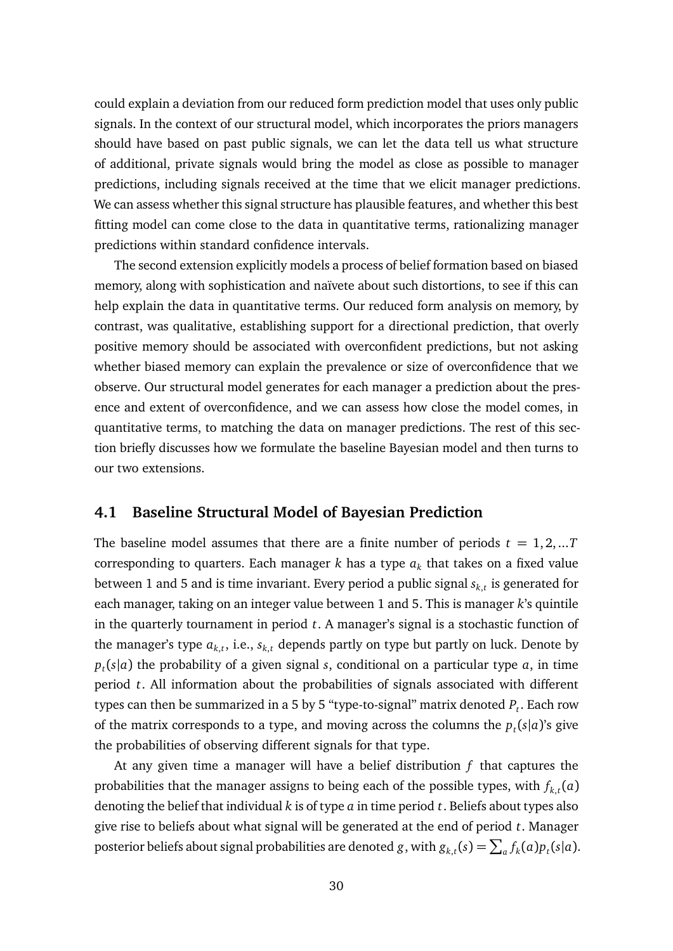could explain a deviation from our reduced form prediction model that uses only public signals. In the context of our structural model, which incorporates the priors managers should have based on past public signals, we can let the data tell us what structure of additional, private signals would bring the model as close as possible to manager predictions, including signals received at the time that we elicit manager predictions. We can assess whether this signal structure has plausible features, and whether this best fitting model can come close to the data in quantitative terms, rationalizing manager predictions within standard confidence intervals.

The second extension explicitly models a process of belief formation based on biased memory, along with sophistication and naïvete about such distortions, to see if this can help explain the data in quantitative terms. Our reduced form analysis on memory, by contrast, was qualitative, establishing support for a directional prediction, that overly positive memory should be associated with overconfident predictions, but not asking whether biased memory can explain the prevalence or size of overconfidence that we observe. Our structural model generates for each manager a prediction about the presence and extent of overconfidence, and we can assess how close the model comes, in quantitative terms, to matching the data on manager predictions. The rest of this section briefly discusses how we formulate the baseline Bayesian model and then turns to our two extensions.

### **4.1 Baseline Structural Model of Bayesian Prediction**

The baseline model assumes that there are a finite number of periods  $t = 1, 2, ...T$ corresponding to quarters. Each manager  $k$  has a type  $a_k$  that takes on a fixed value between 1 and 5 and is time invariant. Every period a public signal *sk*,*<sup>t</sup>* is generated for each manager, taking on an integer value between 1 and 5. This is manager *k*'s quintile in the quarterly tournament in period *t*. A manager's signal is a stochastic function of the manager's type  $a_{k,t}$ , i.e.,  $s_{k,t}$  depends partly on type but partly on luck. Denote by  $p_t(s|a)$  the probability of a given signal *s*, conditional on a particular type *a*, in time period *t*. All information about the probabilities of signals associated with different types can then be summarized in a 5 by 5 "type-to-signal" matrix denoted  $P_t$ . Each row of the matrix corresponds to a type, and moving across the columns the  $p_t(s|a)$ 's give the probabilities of observing different signals for that type.

At any given time a manager will have a belief distribution *f* that captures the probabilities that the manager assigns to being each of the possible types, with  $f_{k,t}(a)$ denoting the belief that individual *k* is of type *a* in time period *t*. Beliefs about types also give rise to beliefs about what signal will be generated at the end of period *t*. Manager posterior beliefs about signal probabilities are denoted *g*, with  $g_{k,t}(s) = \sum_a f_k(a) p_t(s|a)$ .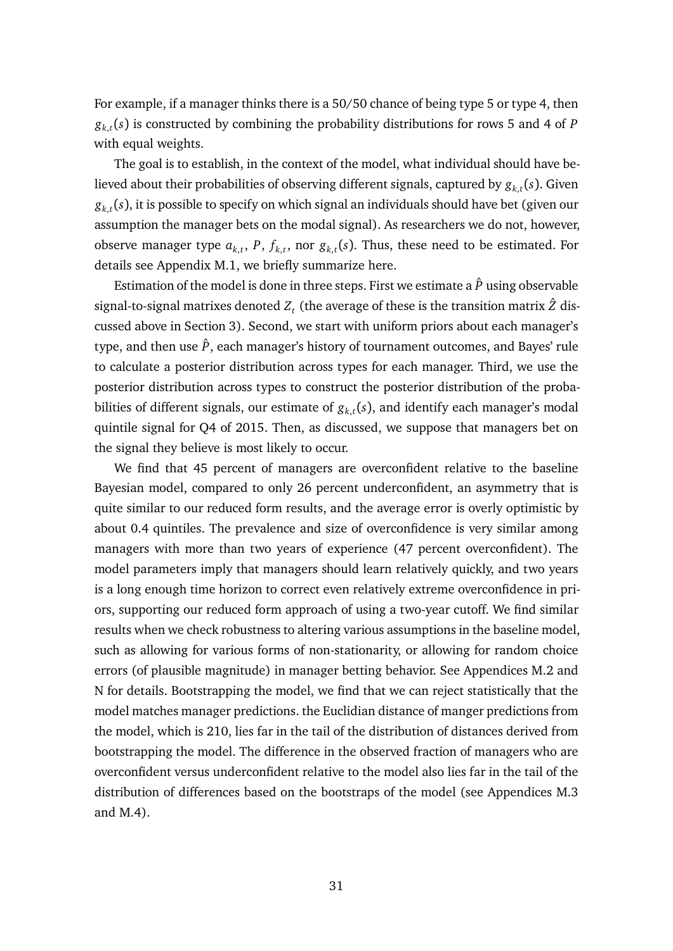For example, if a manager thinks there is a 50/50 chance of being type 5 or type 4, then  $g_{k,t}(s)$  is constructed by combining the probability distributions for rows 5 and 4 of *P* with equal weights.

The goal is to establish, in the context of the model, what individual should have believed about their probabilities of observing different signals, captured by  $g_{k,t}(s)$ . Given  $g_{k,t}(s)$ , it is possible to specify on which signal an individuals should have bet (given our assumption the manager bets on the modal signal). As researchers we do not, however, observe manager type  $a_{k,t}$ ,  $P$ ,  $f_{k,t}$ , nor  $g_{k,t}(s)$ . Thus, these need to be estimated. For details see Appendix [M.1,](#page-0-13) we briefly summarize here.

Estimation of the model is done in three steps. First we estimate a  $\hat{P}$  using observable signal-to-signal matrixes denoted  $Z_t$  (the average of these is the transition matrix  $\hat{Z}$  discussed above in Section [3\)](#page-14-1). Second, we start with uniform priors about each manager's type, and then use  $\hat{P}$ , each manager's history of tournament outcomes, and Bayes' rule to calculate a posterior distribution across types for each manager. Third, we use the posterior distribution across types to construct the posterior distribution of the probabilities of different signals, our estimate of  $g_{k,t}(s)$ , and identify each manager's modal quintile signal for Q4 of 2015. Then, as discussed, we suppose that managers bet on the signal they believe is most likely to occur.

We find that 45 percent of managers are overconfident relative to the baseline Bayesian model, compared to only 26 percent underconfident, an asymmetry that is quite similar to our reduced form results, and the average error is overly optimistic by about 0.4 quintiles. The prevalence and size of overconfidence is very similar among managers with more than two years of experience (47 percent overconfident). The model parameters imply that managers should learn relatively quickly, and two years is a long enough time horizon to correct even relatively extreme overconfidence in priors, supporting our reduced form approach of using a two-year cutoff. We find similar results when we check robustness to altering various assumptions in the baseline model, such as allowing for various forms of non-stationarity, or allowing for random choice errors (of plausible magnitude) in manager betting behavior. See Appendices [M.2](#page-0-3) and [N](#page-0-3) for details. Bootstrapping the model, we find that we can reject statistically that the model matches manager predictions. the Euclidian distance of manger predictions from the model, which is 210, lies far in the tail of the distribution of distances derived from bootstrapping the model. The difference in the observed fraction of managers who are overconfident versus underconfident relative to the model also lies far in the tail of the distribution of differences based on the bootstraps of the model (see Appendices [M.3](#page-0-14) and [M.4\)](#page-0-3).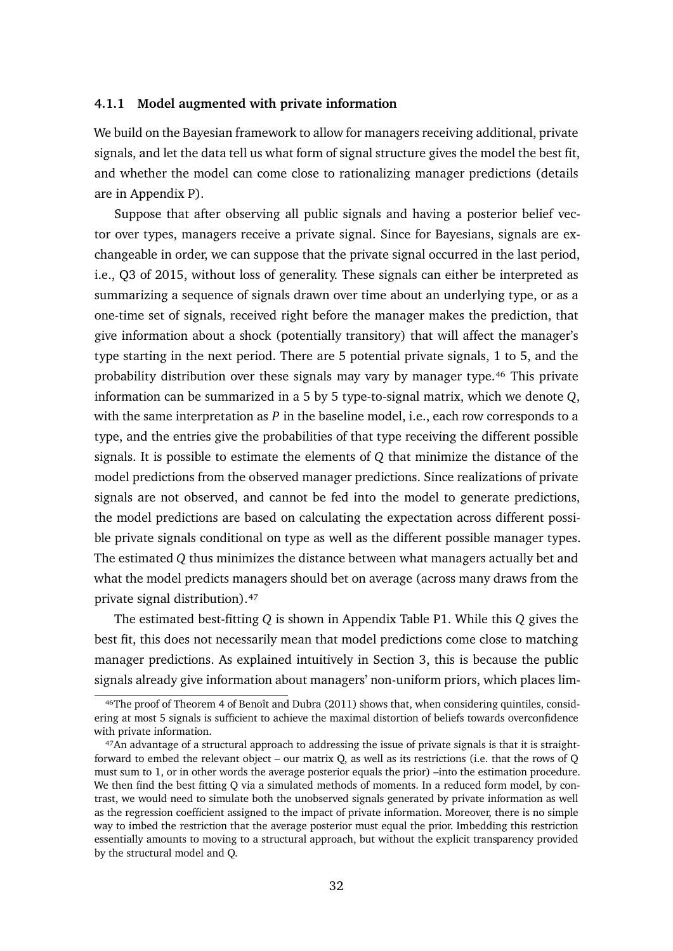#### **4.1.1 Model augmented with private information**

We build on the Bayesian framework to allow for managers receiving additional, private signals, and let the data tell us what form of signal structure gives the model the best fit, and whether the model can come close to rationalizing manager predictions (details are in Appendix [P\)](#page-0-15).

Suppose that after observing all public signals and having a posterior belief vector over types, managers receive a private signal. Since for Bayesians, signals are exchangeable in order, we can suppose that the private signal occurred in the last period, i.e., Q3 of 2015, without loss of generality. These signals can either be interpreted as summarizing a sequence of signals drawn over time about an underlying type, or as a one-time set of signals, received right before the manager makes the prediction, that give information about a shock (potentially transitory) that will affect the manager's type starting in the next period. There are 5 potential private signals, 1 to 5, and the probability distribution over these signals may vary by manager type.<sup>46</sup> This private information can be summarized in a 5 by 5 type-to-signal matrix, which we denote *Q*, with the same interpretation as *P* in the baseline model, i.e., each row corresponds to a type, and the entries give the probabilities of that type receiving the different possible signals. It is possible to estimate the elements of *Q* that minimize the distance of the model predictions from the observed manager predictions. Since realizations of private signals are not observed, and cannot be fed into the model to generate predictions, the model predictions are based on calculating the expectation across different possible private signals conditional on type as well as the different possible manager types. The estimated *Q* thus minimizes the distance between what managers actually bet and what the model predicts managers should bet on average (across many draws from the private signal distribution).<sup>47</sup>

The estimated best-fitting *Q* is shown in Appendix Table [P1.](#page-0-16) While this *Q* gives the best fit, this does not necessarily mean that model predictions come close to matching manager predictions. As explained intuitively in Section 3, this is because the public signals already give information about managers' non-uniform priors, which places lim-

<span id="page-32-0"></span><sup>&</sup>lt;sup>46</sup>The proof of Theorem 4 of Benoît and Dubra (2011) shows that, when considering quintiles, considering at most 5 signals is sufficient to achieve the maximal distortion of beliefs towards overconfidence with private information.

<span id="page-32-1"></span><sup>&</sup>lt;sup>47</sup>An advantage of a structural approach to addressing the issue of private signals is that it is straightforward to embed the relevant object – our matrix Q, as well as its restrictions (i.e. that the rows of Q must sum to 1, or in other words the average posterior equals the prior) –into the estimation procedure. We then find the best fitting O via a simulated methods of moments. In a reduced form model, by contrast, we would need to simulate both the unobserved signals generated by private information as well as the regression coefficient assigned to the impact of private information. Moreover, there is no simple way to imbed the restriction that the average posterior must equal the prior. Imbedding this restriction essentially amounts to moving to a structural approach, but without the explicit transparency provided by the structural model and Q.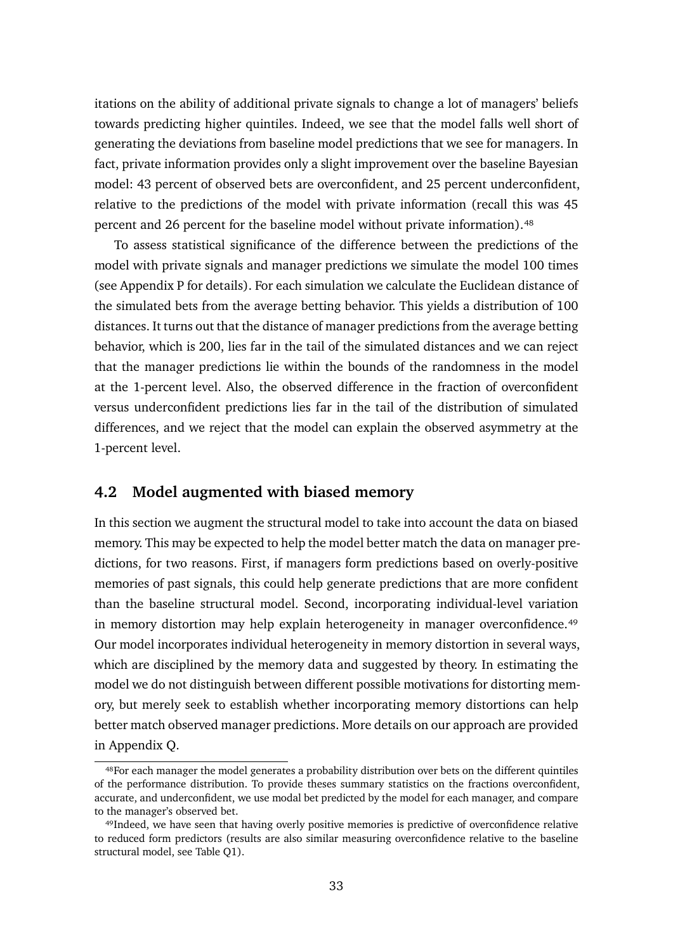itations on the ability of additional private signals to change a lot of managers' beliefs towards predicting higher quintiles. Indeed, we see that the model falls well short of generating the deviations from baseline model predictions that we see for managers. In fact, private information provides only a slight improvement over the baseline Bayesian model: 43 percent of observed bets are overconfident, and 25 percent underconfident, relative to the predictions of the model with private information (recall this was 45 percent and 26 percent for the baseline model without private information).<sup>48</sup>

To assess statistical significance of the difference between the predictions of the model with private signals and manager predictions we simulate the model 100 times (see Appendix [P](#page-0-15) for details). For each simulation we calculate the Euclidean distance of the simulated bets from the average betting behavior. This yields a distribution of 100 distances. It turns out that the distance of manager predictions from the average betting behavior, which is 200, lies far in the tail of the simulated distances and we can reject that the manager predictions lie within the bounds of the randomness in the model at the 1-percent level. Also, the observed difference in the fraction of overconfident versus underconfident predictions lies far in the tail of the distribution of simulated differences, and we reject that the model can explain the observed asymmetry at the 1-percent level.

### **4.2 Model augmented with biased memory**

In this section we augment the structural model to take into account the data on biased memory. This may be expected to help the model better match the data on manager predictions, for two reasons. First, if managers form predictions based on overly-positive memories of past signals, this could help generate predictions that are more confident than the baseline structural model. Second, incorporating individual-level variation in memory distortion may help explain heterogeneity in manager overconfidence.<sup>49</sup> Our model incorporates individual heterogeneity in memory distortion in several ways, which are disciplined by the memory data and suggested by theory. In estimating the model we do not distinguish between different possible motivations for distorting memory, but merely seek to establish whether incorporating memory distortions can help better match observed manager predictions. More details on our approach are provided in Appendix [Q.](#page-0-17)

<span id="page-33-0"></span><sup>48</sup> For each manager the model generates a probability distribution over bets on the different quintiles of the performance distribution. To provide theses summary statistics on the fractions overconfident, accurate, and underconfident, we use modal bet predicted by the model for each manager, and compare to the manager's observed bet.

<span id="page-33-1"></span><sup>&</sup>lt;sup>49</sup>Indeed, we have seen that having overly positive memories is predictive of overconfidence relative to reduced form predictors (results are also similar measuring overconfidence relative to the baseline structural model, see Table [Q1\)](#page-0-18).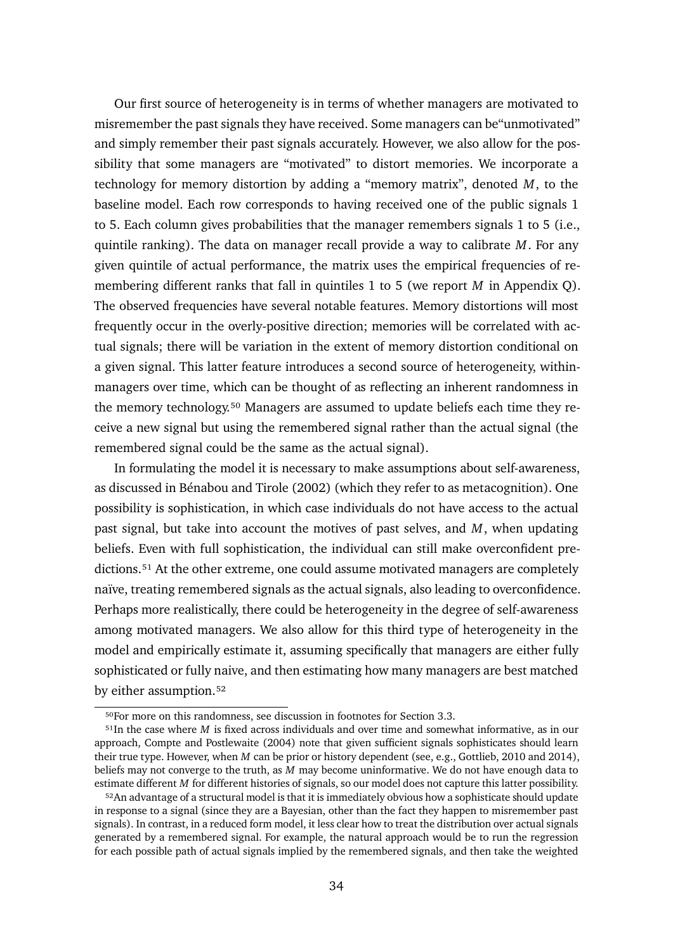Our first source of heterogeneity is in terms of whether managers are motivated to misremember the past signals they have received. Some managers can be"unmotivated" and simply remember their past signals accurately. However, we also allow for the possibility that some managers are "motivated" to distort memories. We incorporate a technology for memory distortion by adding a "memory matrix", denoted *M*, to the baseline model. Each row corresponds to having received one of the public signals 1 to 5. Each column gives probabilities that the manager remembers signals 1 to 5 (i.e., quintile ranking). The data on manager recall provide a way to calibrate *M*. For any given quintile of actual performance, the matrix uses the empirical frequencies of remembering different ranks that fall in quintiles 1 to 5 (we report *M* in Appendix [Q\)](#page-0-17). The observed frequencies have several notable features. Memory distortions will most frequently occur in the overly-positive direction; memories will be correlated with actual signals; there will be variation in the extent of memory distortion conditional on a given signal. This latter feature introduces a second source of heterogeneity, withinmanagers over time, which can be thought of as reflecting an inherent randomness in the memory technology.<sup>50</sup> Managers are assumed to update beliefs each time they receive a new signal but using the remembered signal rather than the actual signal (the remembered signal could be the same as the actual signal).

In formulating the model it is necessary to make assumptions about self-awareness, as discussed in Bénabou and Tirole (2002) (which they refer to as metacognition). One possibility is sophistication, in which case individuals do not have access to the actual past signal, but take into account the motives of past selves, and *M*, when updating beliefs. Even with full sophistication, the individual can still make overconfident predictions.<sup>51</sup> At the other extreme, one could assume motivated managers are completely naïve, treating remembered signals as the actual signals, also leading to overconfidence. Perhaps more realistically, there could be heterogeneity in the degree of self-awareness among motivated managers. We also allow for this third type of heterogeneity in the model and empirically estimate it, assuming specifically that managers are either fully sophisticated or fully naive, and then estimating how many managers are best matched by either assumption.<sup>52</sup>

<span id="page-34-1"></span><span id="page-34-0"></span><sup>&</sup>lt;sup>50</sup>For more on this randomness, see discussion in footnotes for Section [3.3.](#page-22-1)

<sup>&</sup>lt;sup>51</sup>In the case where *M* is fixed across individuals and over time and somewhat informative, as in our approach, Compte and Postlewaite (2004) note that given sufficient signals sophisticates should learn their true type. However, when *M* can be prior or history dependent (see, e.g., Gottlieb, 2010 and 2014), beliefs may not converge to the truth, as *M* may become uninformative. We do not have enough data to estimate different *M* for different histories of signals, so our model does not capture this latter possibility.

<span id="page-34-2"></span><sup>&</sup>lt;sup>52</sup>An advantage of a structural model is that it is immediately obvious how a sophisticate should update in response to a signal (since they are a Bayesian, other than the fact they happen to misremember past signals). In contrast, in a reduced form model, it less clear how to treat the distribution over actual signals generated by a remembered signal. For example, the natural approach would be to run the regression for each possible path of actual signals implied by the remembered signals, and then take the weighted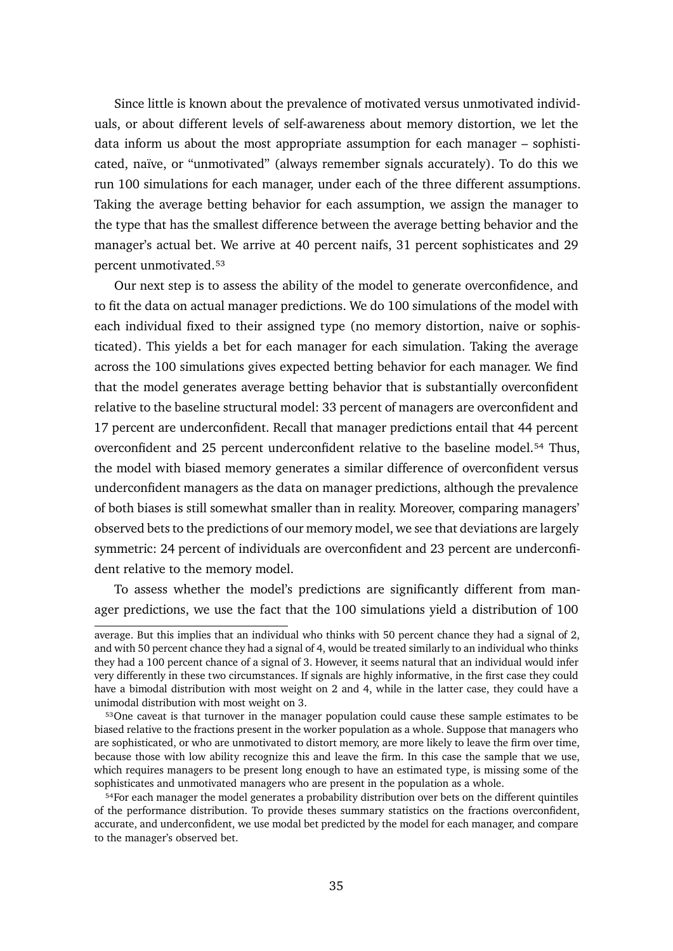Since little is known about the prevalence of motivated versus unmotivated individuals, or about different levels of self-awareness about memory distortion, we let the data inform us about the most appropriate assumption for each manager – sophisticated, naïve, or "unmotivated" (always remember signals accurately). To do this we run 100 simulations for each manager, under each of the three different assumptions. Taking the average betting behavior for each assumption, we assign the manager to the type that has the smallest difference between the average betting behavior and the manager's actual bet. We arrive at 40 percent naifs, 31 percent sophisticates and 29 percent unmotivated.<sup>53</sup>

Our next step is to assess the ability of the model to generate overconfidence, and to fit the data on actual manager predictions. We do 100 simulations of the model with each individual fixed to their assigned type (no memory distortion, naive or sophisticated). This yields a bet for each manager for each simulation. Taking the average across the 100 simulations gives expected betting behavior for each manager. We find that the model generates average betting behavior that is substantially overconfident relative to the baseline structural model: 33 percent of managers are overconfident and 17 percent are underconfident. Recall that manager predictions entail that 44 percent overconfident and 25 percent underconfident relative to the baseline model.<sup>54</sup> Thus, the model with biased memory generates a similar difference of overconfident versus underconfident managers as the data on manager predictions, although the prevalence of both biases is still somewhat smaller than in reality. Moreover, comparing managers' observed bets to the predictions of our memory model, we see that deviations are largely symmetric: 24 percent of individuals are overconfident and 23 percent are underconfident relative to the memory model.

To assess whether the model's predictions are significantly different from manager predictions, we use the fact that the 100 simulations yield a distribution of 100

average. But this implies that an individual who thinks with 50 percent chance they had a signal of 2, and with 50 percent chance they had a signal of 4, would be treated similarly to an individual who thinks they had a 100 percent chance of a signal of 3. However, it seems natural that an individual would infer very differently in these two circumstances. If signals are highly informative, in the first case they could have a bimodal distribution with most weight on 2 and 4, while in the latter case, they could have a unimodal distribution with most weight on 3.

<span id="page-35-0"></span><sup>&</sup>lt;sup>53</sup>One caveat is that turnover in the manager population could cause these sample estimates to be biased relative to the fractions present in the worker population as a whole. Suppose that managers who are sophisticated, or who are unmotivated to distort memory, are more likely to leave the firm over time, because those with low ability recognize this and leave the firm. In this case the sample that we use, which requires managers to be present long enough to have an estimated type, is missing some of the sophisticates and unmotivated managers who are present in the population as a whole.

<span id="page-35-1"></span><sup>&</sup>lt;sup>54</sup>For each manager the model generates a probability distribution over bets on the different quintiles of the performance distribution. To provide theses summary statistics on the fractions overconfident, accurate, and underconfident, we use modal bet predicted by the model for each manager, and compare to the manager's observed bet.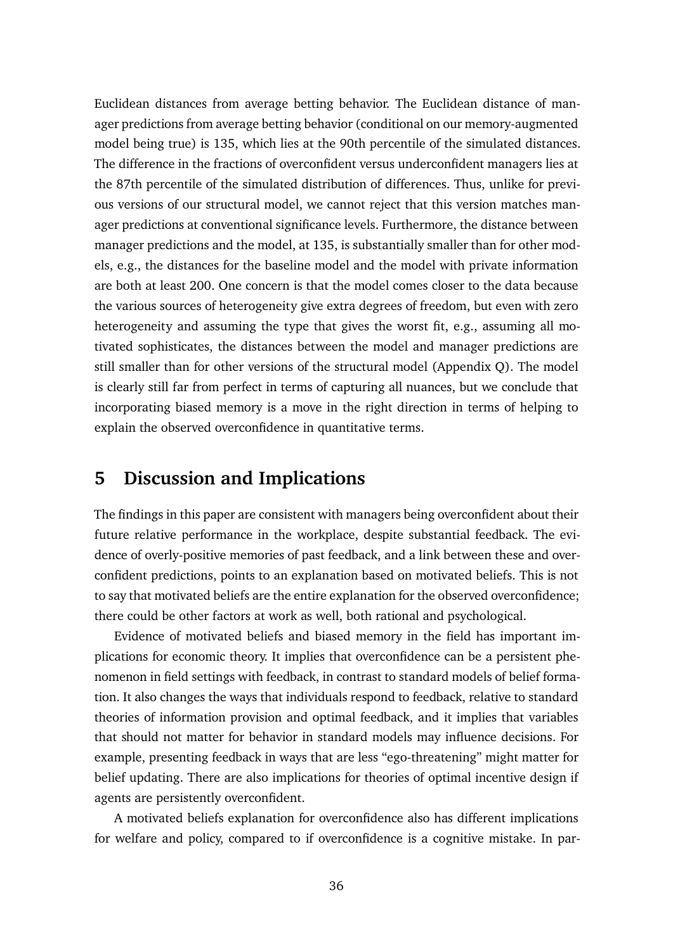Euclidean distances from average betting behavior. The Euclidean distance of manager predictions from average betting behavior (conditional on our memory-augmented model being true) is 135, which lies at the 90th percentile of the simulated distances. The difference in the fractions of overconfident versus underconfident managers lies at the 87th percentile of the simulated distribution of differences. Thus, unlike for previous versions of our structural model, we cannot reject that this version matches manager predictions at conventional significance levels. Furthermore, the distance between manager predictions and the model, at 135, is substantially smaller than for other models, e.g., the distances for the baseline model and the model with private information are both at least 200. One concern is that the model comes closer to the data because the various sources of heterogeneity give extra degrees of freedom, but even with zero heterogeneity and assuming the type that gives the worst fit, e.g., assuming all motivated sophisticates, the distances between the model and manager predictions are still smaller than for other versions of the structural model (Appendix [Q\)](#page-0-17). The model is clearly still far from perfect in terms of capturing all nuances, but we conclude that incorporating biased memory is a move in the right direction in terms of helping to explain the observed overconfidence in quantitative terms.

# **5 Discussion and Implications**

The findings in this paper are consistent with managers being overconfident about their future relative performance in the workplace, despite substantial feedback. The evidence of overly-positive memories of past feedback, and a link between these and overconfident predictions, points to an explanation based on motivated beliefs. This is not to say that motivated beliefs are the entire explanation for the observed overconfidence; there could be other factors at work as well, both rational and psychological.

Evidence of motivated beliefs and biased memory in the field has important implications for economic theory. It implies that overconfidence can be a persistent phenomenon in field settings with feedback, in contrast to standard models of belief formation. It also changes the ways that individuals respond to feedback, relative to standard theories of information provision and optimal feedback, and it implies that variables that should not matter for behavior in standard models may influence decisions. For example, presenting feedback in ways that are less "ego-threatening" might matter for belief updating. There are also implications for theories of optimal incentive design if agents are persistently overconfident.

A motivated beliefs explanation for overconfidence also has different implications for welfare and policy, compared to if overconfidence is a cognitive mistake. In par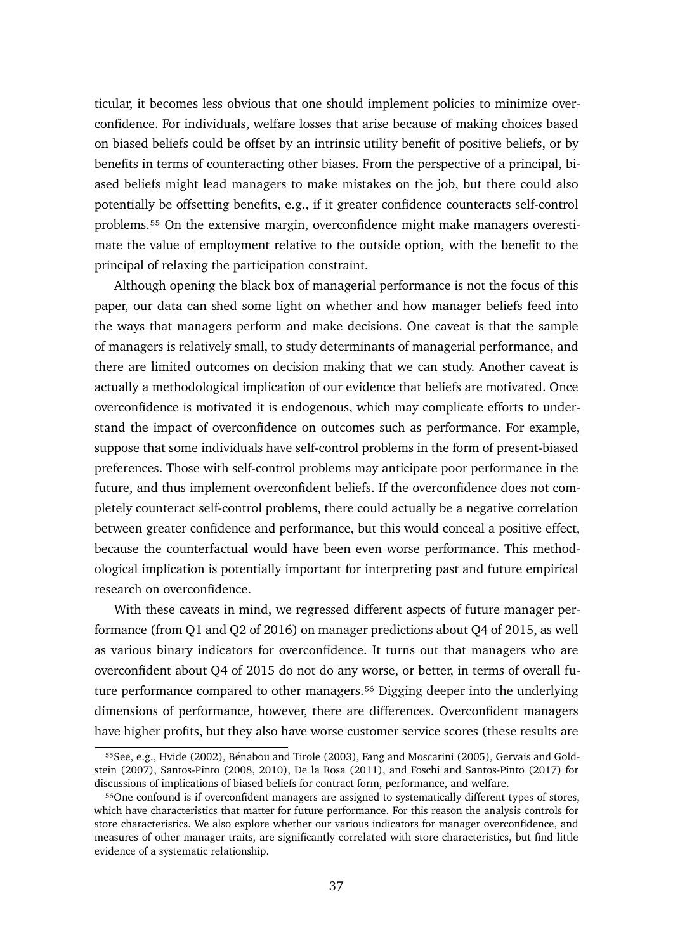ticular, it becomes less obvious that one should implement policies to minimize overconfidence. For individuals, welfare losses that arise because of making choices based on biased beliefs could be offset by an intrinsic utility benefit of positive beliefs, or by benefits in terms of counteracting other biases. From the perspective of a principal, biased beliefs might lead managers to make mistakes on the job, but there could also potentially be offsetting benefits, e.g., if it greater confidence counteracts self-control problems.<sup>55</sup> On the extensive margin, overconfidence might make managers overestimate the value of employment relative to the outside option, with the benefit to the principal of relaxing the participation constraint.

Although opening the black box of managerial performance is not the focus of this paper, our data can shed some light on whether and how manager beliefs feed into the ways that managers perform and make decisions. One caveat is that the sample of managers is relatively small, to study determinants of managerial performance, and there are limited outcomes on decision making that we can study. Another caveat is actually a methodological implication of our evidence that beliefs are motivated. Once overconfidence is motivated it is endogenous, which may complicate efforts to understand the impact of overconfidence on outcomes such as performance. For example, suppose that some individuals have self-control problems in the form of present-biased preferences. Those with self-control problems may anticipate poor performance in the future, and thus implement overconfident beliefs. If the overconfidence does not completely counteract self-control problems, there could actually be a negative correlation between greater confidence and performance, but this would conceal a positive effect, because the counterfactual would have been even worse performance. This methodological implication is potentially important for interpreting past and future empirical research on overconfidence.

With these caveats in mind, we regressed different aspects of future manager performance (from Q1 and Q2 of 2016) on manager predictions about Q4 of 2015, as well as various binary indicators for overconfidence. It turns out that managers who are overconfident about Q4 of 2015 do not do any worse, or better, in terms of overall future performance compared to other managers.<sup>56</sup> Digging deeper into the underlying dimensions of performance, however, there are differences. Overconfident managers have higher profits, but they also have worse customer service scores (these results are

<span id="page-37-0"></span><sup>55</sup> See, e.g., Hvide (2002), Bénabou and Tirole (2003), Fang and Moscarini (2005), Gervais and Goldstein (2007), Santos-Pinto (2008, 2010), De la Rosa (2011), and Foschi and Santos-Pinto (2017) for discussions of implications of biased beliefs for contract form, performance, and welfare.

<span id="page-37-1"></span><sup>&</sup>lt;sup>56</sup>One confound is if overconfident managers are assigned to systematically different types of stores, which have characteristics that matter for future performance. For this reason the analysis controls for store characteristics. We also explore whether our various indicators for manager overconfidence, and measures of other manager traits, are significantly correlated with store characteristics, but find little evidence of a systematic relationship.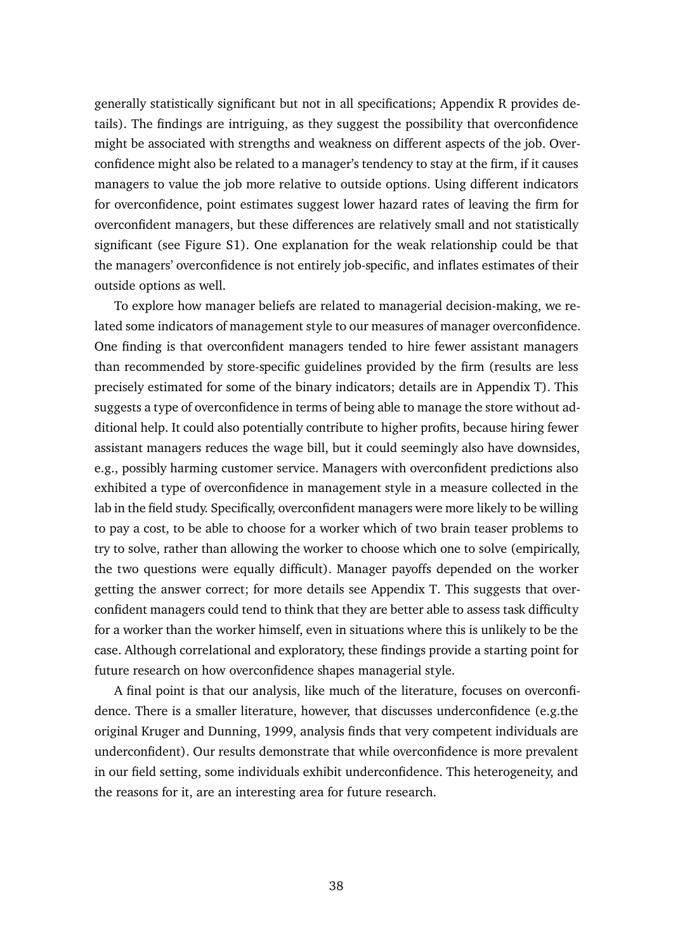generally statistically significant but not in all specifications; Appendix [R](#page-0-3) provides details). The findings are intriguing, as they suggest the possibility that overconfidence might be associated with strengths and weakness on different aspects of the job. Overconfidence might also be related to a manager's tendency to stay at the firm, if it causes managers to value the job more relative to outside options. Using different indicators for overconfidence, point estimates suggest lower hazard rates of leaving the firm for overconfident managers, but these differences are relatively small and not statistically significant (see Figure [S1\)](#page-0-7). One explanation for the weak relationship could be that the managers' overconfidence is not entirely job-specific, and inflates estimates of their outside options as well.

To explore how manager beliefs are related to managerial decision-making, we related some indicators of management style to our measures of manager overconfidence. One finding is that overconfident managers tended to hire fewer assistant managers than recommended by store-specific guidelines provided by the firm (results are less precisely estimated for some of the binary indicators; details are in Appendix [T\)](#page-0-3). This suggests a type of overconfidence in terms of being able to manage the store without additional help. It could also potentially contribute to higher profits, because hiring fewer assistant managers reduces the wage bill, but it could seemingly also have downsides, e.g., possibly harming customer service. Managers with overconfident predictions also exhibited a type of overconfidence in management style in a measure collected in the lab in the field study. Specifically, overconfident managers were more likely to be willing to pay a cost, to be able to choose for a worker which of two brain teaser problems to try to solve, rather than allowing the worker to choose which one to solve (empirically, the two questions were equally difficult). Manager payoffs depended on the worker getting the answer correct; for more details see Appendix [T.](#page-0-3) This suggests that overconfident managers could tend to think that they are better able to assess task difficulty for a worker than the worker himself, even in situations where this is unlikely to be the case. Although correlational and exploratory, these findings provide a starting point for future research on how overconfidence shapes managerial style.

A final point is that our analysis, like much of the literature, focuses on overconfidence. There is a smaller literature, however, that discusses underconfidence (e.g.the original Kruger and Dunning, 1999, analysis finds that very competent individuals are underconfident). Our results demonstrate that while overconfidence is more prevalent in our field setting, some individuals exhibit underconfidence. This heterogeneity, and the reasons for it, are an interesting area for future research.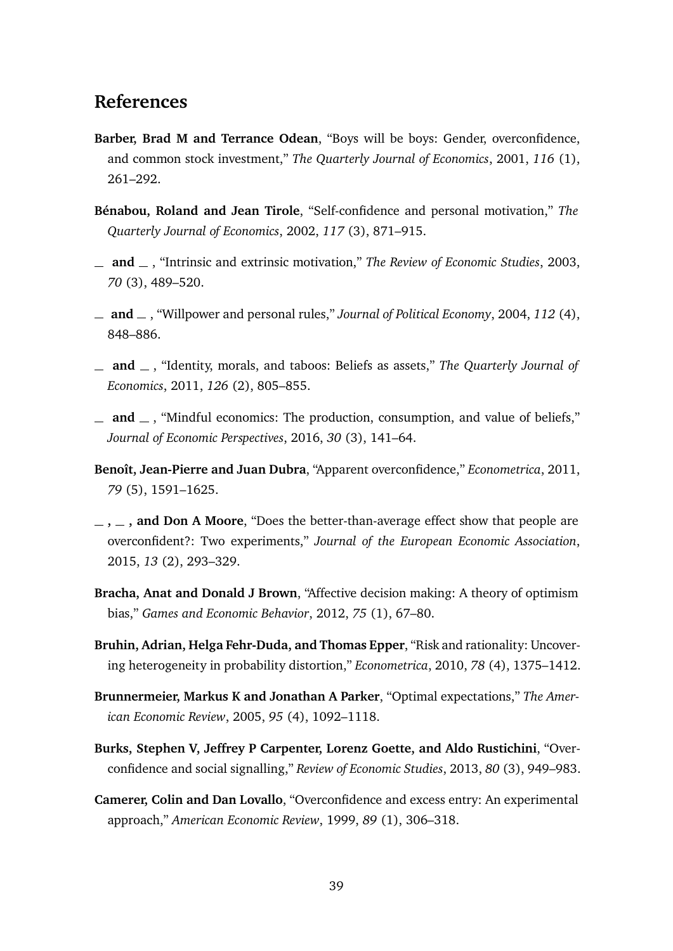# **References**

- **Barber, Brad M and Terrance Odean**, "Boys will be boys: Gender, overconfidence, and common stock investment," *The Quarterly Journal of Economics*, 2001, *116* (1), 261–292.
- **Bénabou, Roland and Jean Tirole**, "Self-confidence and personal motivation," *The Quarterly Journal of Economics*, 2002, *117* (3), 871–915.
- **and** , "Intrinsic and extrinsic motivation," *The Review of Economic Studies*, 2003, *70* (3), 489–520.
- **and** , "Willpower and personal rules," *Journal of Political Economy*, 2004, *112* (4), 848–886.
- $\Box$  **and**  $\Box$ , "Identity, morals, and taboos: Beliefs as assets," *The Quarterly Journal of Economics*, 2011, *126* (2), 805–855.
- $\mu$  and  $\mu$ , "Mindful economics: The production, consumption, and value of beliefs," *Journal of Economic Perspectives*, 2016, *30* (3), 141–64.
- **Benoît, Jean-Pierre and Juan Dubra**, "Apparent overconfidence," *Econometrica*, 2011, *79* (5), 1591–1625.
- **, , and Don A Moore**, "Does the better-than-average effect show that people are overconfident?: Two experiments," *Journal of the European Economic Association*, 2015, *13* (2), 293–329.
- **Bracha, Anat and Donald J Brown**, "Affective decision making: A theory of optimism bias," *Games and Economic Behavior*, 2012, *75* (1), 67–80.
- **Bruhin, Adrian, Helga Fehr-Duda, and Thomas Epper**, "Risk and rationality: Uncovering heterogeneity in probability distortion," *Econometrica*, 2010, *78* (4), 1375–1412.
- **Brunnermeier, Markus K and Jonathan A Parker**, "Optimal expectations," *The American Economic Review*, 2005, *95* (4), 1092–1118.
- **Burks, Stephen V, Jeffrey P Carpenter, Lorenz Goette, and Aldo Rustichini**, "Overconfidence and social signalling," *Review of Economic Studies*, 2013, *80* (3), 949–983.
- **Camerer, Colin and Dan Lovallo**, "Overconfidence and excess entry: An experimental approach," *American Economic Review*, 1999, *89* (1), 306–318.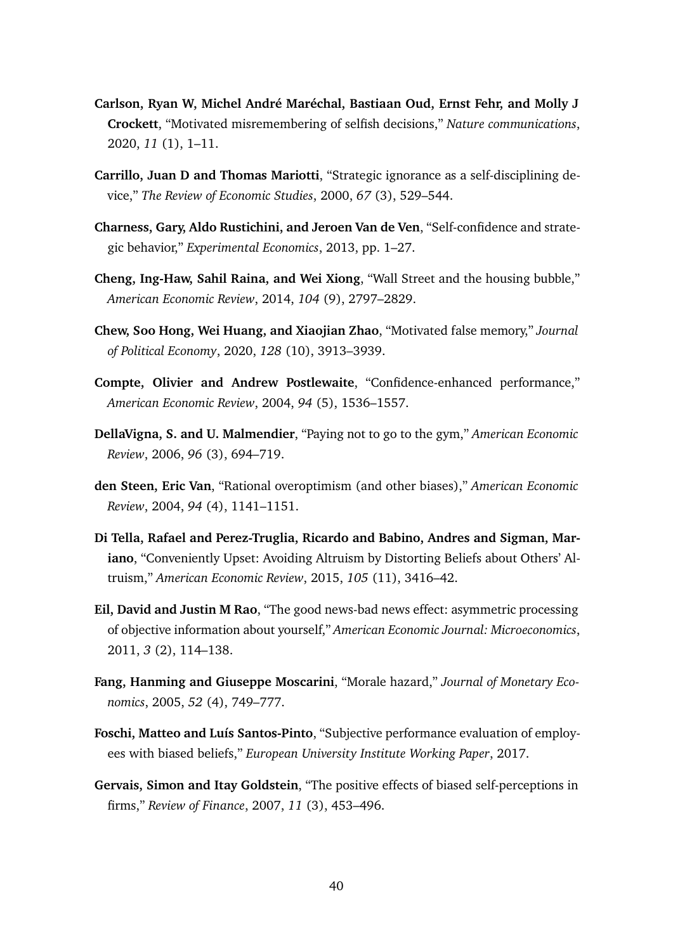- **Carlson, Ryan W, Michel André Maréchal, Bastiaan Oud, Ernst Fehr, and Molly J Crockett**, "Motivated misremembering of selfish decisions," *Nature communications*, 2020, *11* (1), 1–11.
- **Carrillo, Juan D and Thomas Mariotti**, "Strategic ignorance as a self-disciplining device," *The Review of Economic Studies*, 2000, *67* (3), 529–544.
- **Charness, Gary, Aldo Rustichini, and Jeroen Van de Ven**, "Self-confidence and strategic behavior," *Experimental Economics*, 2013, pp. 1–27.
- **Cheng, Ing-Haw, Sahil Raina, and Wei Xiong**, "Wall Street and the housing bubble," *American Economic Review*, 2014, *104* (9), 2797–2829.
- **Chew, Soo Hong, Wei Huang, and Xiaojian Zhao**, "Motivated false memory," *Journal of Political Economy*, 2020, *128* (10), 3913–3939.
- **Compte, Olivier and Andrew Postlewaite**, "Confidence-enhanced performance," *American Economic Review*, 2004, *94* (5), 1536–1557.
- **DellaVigna, S. and U. Malmendier**, "Paying not to go to the gym," *American Economic Review*, 2006, *96* (3), 694–719.
- **den Steen, Eric Van**, "Rational overoptimism (and other biases)," *American Economic Review*, 2004, *94* (4), 1141–1151.
- **Di Tella, Rafael and Perez-Truglia, Ricardo and Babino, Andres and Sigman, Mariano**, "Conveniently Upset: Avoiding Altruism by Distorting Beliefs about Others' Altruism," *American Economic Review*, 2015, *105* (11), 3416–42.
- **Eil, David and Justin M Rao**, "The good news-bad news effect: asymmetric processing of objective information about yourself," *American Economic Journal: Microeconomics*, 2011, *3* (2), 114–138.
- **Fang, Hanming and Giuseppe Moscarini**, "Morale hazard," *Journal of Monetary Economics*, 2005, *52* (4), 749–777.
- **Foschi, Matteo and Luís Santos-Pinto**, "Subjective performance evaluation of employees with biased beliefs," *European University Institute Working Paper*, 2017.
- **Gervais, Simon and Itay Goldstein**, "The positive effects of biased self-perceptions in firms," *Review of Finance*, 2007, *11* (3), 453–496.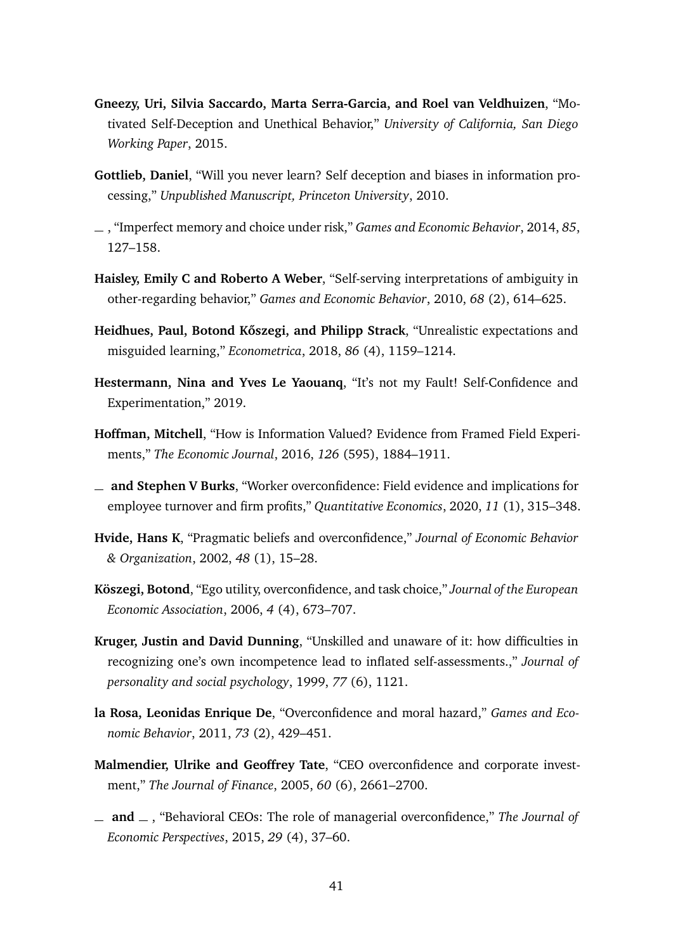- **Gneezy, Uri, Silvia Saccardo, Marta Serra-Garcia, and Roel van Veldhuizen**, "Motivated Self-Deception and Unethical Behavior," *University of California, San Diego Working Paper*, 2015.
- **Gottlieb, Daniel**, "Will you never learn? Self deception and biases in information processing," *Unpublished Manuscript, Princeton University*, 2010.
- , "Imperfect memory and choice under risk," *Games and Economic Behavior*, 2014, *85*, 127–158.
- **Haisley, Emily C and Roberto A Weber**, "Self-serving interpretations of ambiguity in other-regarding behavior," *Games and Economic Behavior*, 2010, *68* (2), 614–625.
- **Heidhues, Paul, Botond Kőszegi, and Philipp Strack**, "Unrealistic expectations and misguided learning," *Econometrica*, 2018, *86* (4), 1159–1214.
- **Hestermann, Nina and Yves Le Yaouanq**, "It's not my Fault! Self-Confidence and Experimentation," 2019.
- **Hoffman, Mitchell**, "How is Information Valued? Evidence from Framed Field Experiments," *The Economic Journal*, 2016, *126* (595), 1884–1911.
- **and Stephen V Burks**, "Worker overconfidence: Field evidence and implications for employee turnover and firm profits," *Quantitative Economics*, 2020, *11* (1), 315–348.
- **Hvide, Hans K**, "Pragmatic beliefs and overconfidence," *Journal of Economic Behavior & Organization*, 2002, *48* (1), 15–28.
- **Köszegi, Botond**, "Ego utility, overconfidence, and task choice," *Journal of the European Economic Association*, 2006, *4* (4), 673–707.
- **Kruger, Justin and David Dunning**, "Unskilled and unaware of it: how difficulties in recognizing one's own incompetence lead to inflated self-assessments.," *Journal of personality and social psychology*, 1999, *77* (6), 1121.
- **la Rosa, Leonidas Enrique De**, "Overconfidence and moral hazard," *Games and Economic Behavior*, 2011, *73* (2), 429–451.
- **Malmendier, Ulrike and Geoffrey Tate**, "CEO overconfidence and corporate investment," *The Journal of Finance*, 2005, *60* (6), 2661–2700.
- **and** , "Behavioral CEOs: The role of managerial overconfidence," *The Journal of Economic Perspectives*, 2015, *29* (4), 37–60.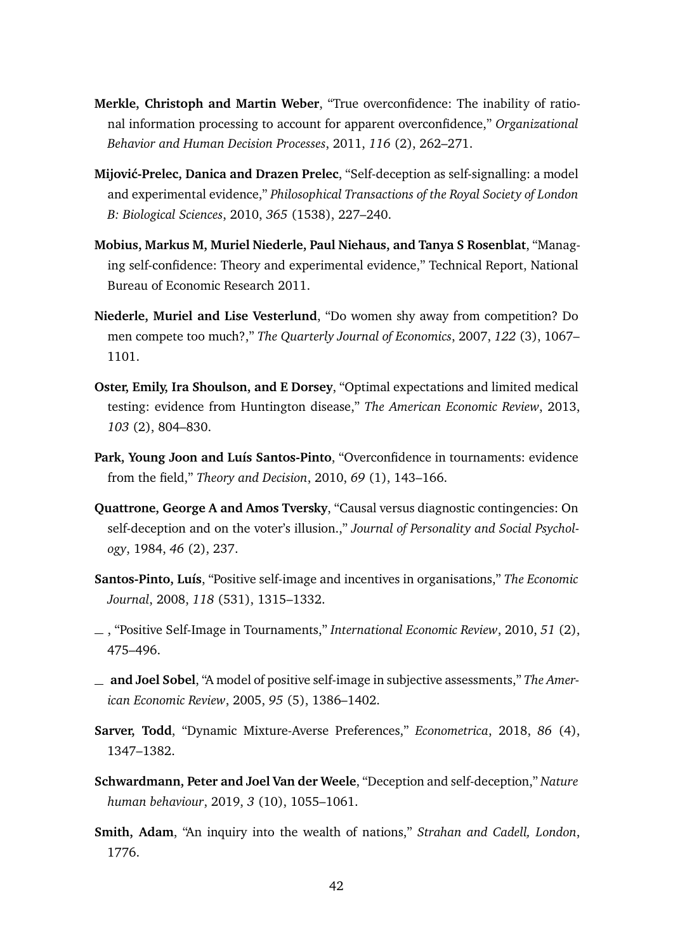- **Merkle, Christoph and Martin Weber**, "True overconfidence: The inability of rational information processing to account for apparent overconfidence," *Organizational Behavior and Human Decision Processes*, 2011, *116* (2), 262–271.
- **Mijović-Prelec, Danica and Drazen Prelec**, "Self-deception as self-signalling: a model and experimental evidence," *Philosophical Transactions of the Royal Society of London B: Biological Sciences*, 2010, *365* (1538), 227–240.
- **Mobius, Markus M, Muriel Niederle, Paul Niehaus, and Tanya S Rosenblat**, "Managing self-confidence: Theory and experimental evidence," Technical Report, National Bureau of Economic Research 2011.
- **Niederle, Muriel and Lise Vesterlund**, "Do women shy away from competition? Do men compete too much?," *The Quarterly Journal of Economics*, 2007, *122* (3), 1067– 1101.
- **Oster, Emily, Ira Shoulson, and E Dorsey**, "Optimal expectations and limited medical testing: evidence from Huntington disease," *The American Economic Review*, 2013, *103* (2), 804–830.
- **Park, Young Joon and Luís Santos-Pinto**, "Overconfidence in tournaments: evidence from the field," *Theory and Decision*, 2010, *69* (1), 143–166.
- **Quattrone, George A and Amos Tversky**, "Causal versus diagnostic contingencies: On self-deception and on the voter's illusion.," *Journal of Personality and Social Psychology*, 1984, *46* (2), 237.
- **Santos-Pinto, Luís**, "Positive self-image and incentives in organisations," *The Economic Journal*, 2008, *118* (531), 1315–1332.
- , "Positive Self-Image in Tournaments," *International Economic Review*, 2010, *51* (2), 475–496.
- **and Joel Sobel**, "A model of positive self-image in subjective assessments," *The American Economic Review*, 2005, *95* (5), 1386–1402.
- **Sarver, Todd**, "Dynamic Mixture-Averse Preferences," *Econometrica*, 2018, *86* (4), 1347–1382.
- **Schwardmann, Peter and Joel Van der Weele**, "Deception and self-deception," *Nature human behaviour*, 2019, *3* (10), 1055–1061.
- **Smith, Adam**, "An inquiry into the wealth of nations," *Strahan and Cadell, London*, 1776.